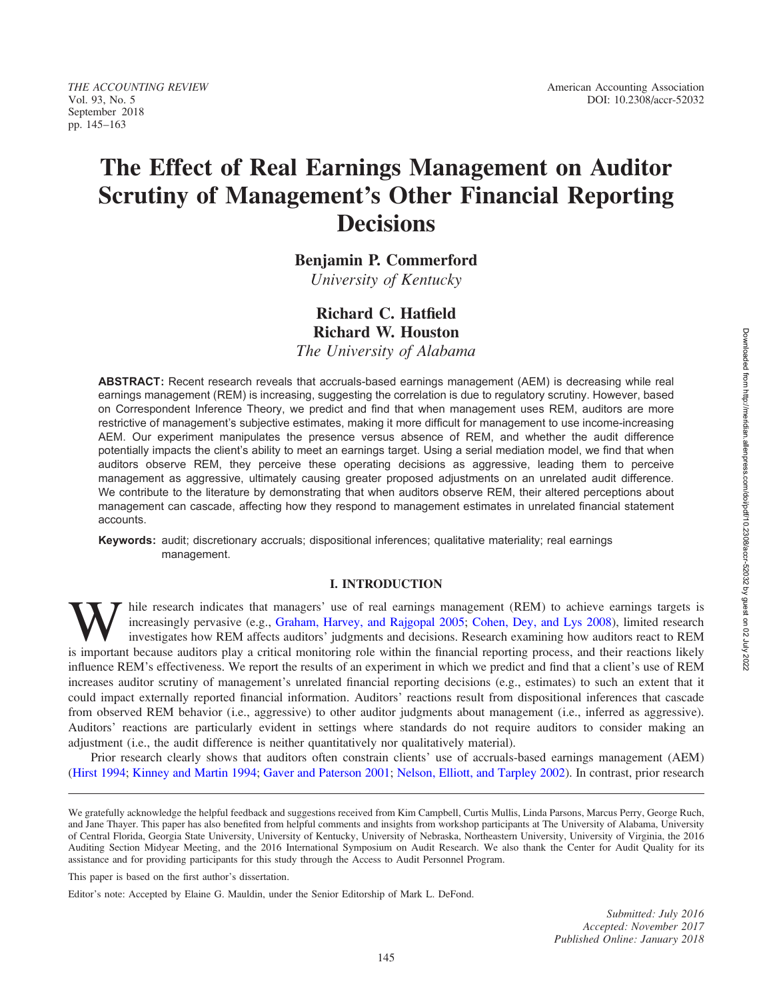THE ACCOUNTING REVIEW American Accounting Association September 2018 pp. 145–163

# The Effect of Real Earnings Management on Auditor Scrutiny of Management's Other Financial Reporting **Decisions**

Benjamin P. Commerford

University of Kentucky

# Richard C. Hatfield Richard W. Houston

The University of Alabama

ABSTRACT: Recent research reveals that accruals-based earnings management (AEM) is decreasing while real earnings management (REM) is increasing, suggesting the correlation is due to regulatory scrutiny. However, based on Correspondent Inference Theory, we predict and find that when management uses REM, auditors are more restrictive of management's subjective estimates, making it more difficult for management to use income-increasing AEM. Our experiment manipulates the presence versus absence of REM, and whether the audit difference potentially impacts the client's ability to meet an earnings target. Using a serial mediation model, we find that when auditors observe REM, they perceive these operating decisions as aggressive, leading them to perceive management as aggressive, ultimately causing greater proposed adjustments on an unrelated audit difference. We contribute to the literature by demonstrating that when auditors observe REM, their altered perceptions about management can cascade, affecting how they respond to management estimates in unrelated financial statement accounts.

Keywords: audit; discretionary accruals; dispositional inferences; qualitative materiality; real earnings management.

## I. INTRODUCTION

hile research indicates that managers' use of real earnings management (REM) to achieve earnings targets is increasingly pervasive (e.g., Graham, Harvey, and Rajgopal 2005; Cohen, Dey, and Lys 2008), limited research investigates how REM affects auditors' judgments and decisions. Research examining how auditors react to REM is important because auditors play a critical monitoring role within the financial reporting process, and their reactions likely influence REM's effectiveness. We report the results of an experiment in which we predict and find that a client's use of REM increases auditor scrutiny of management's unrelated financial reporting decisions (e.g., estimates) to such an extent that it could impact externally reported financial information. Auditors' reactions result from dispositional inferences that cascade from observed REM behavior (i.e., aggressive) to other auditor judgments about management (i.e., inferred as aggressive). Auditors' reactions are particularly evident in settings where standards do not require auditors to consider making an adjustment (i.e., the audit difference is neither quantitatively nor qualitatively material).

Prior research clearly shows that auditors often constrain clients' use of accruals-based earnings management (AEM) [\(Hirst 1994;](#page-17-0) [Kinney and Martin 1994](#page-17-0); [Gaver and Paterson 2001](#page-17-0); [Nelson, Elliott, and Tarpley 2002\)](#page-17-0). In contrast, prior research

This paper is based on the first author's dissertation.

We gratefully acknowledge the helpful feedback and suggestions received from Kim Campbell, Curtis Mullis, Linda Parsons, Marcus Perry, George Ruch, and Jane Thayer. This paper has also benefited from helpful comments and insights from workshop participants at The University of Alabama, University of Central Florida, Georgia State University, University of Kentucky, University of Nebraska, Northeastern University, University of Virginia, the 2016 Auditing Section Midyear Meeting, and the 2016 International Symposium on Audit Research. We also thank the Center for Audit Quality for its assistance and for providing participants for this study through the Access to Audit Personnel Program.

Editor's note: Accepted by Elaine G. Mauldin, under the Senior Editorship of Mark L. DeFond.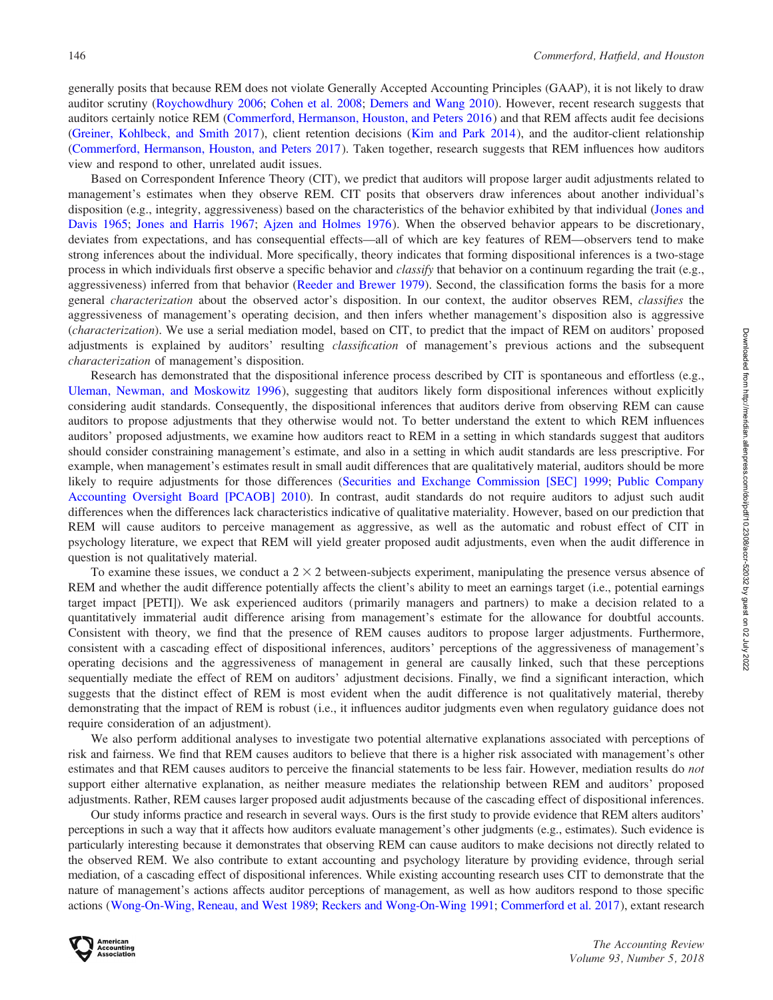generally posits that because REM does not violate Generally Accepted Accounting Principles (GAAP), it is not likely to draw auditor scrutiny ([Roychowdhury 2006;](#page-18-0) [Cohen et al. 2008](#page-16-0); [Demers and Wang 2010\)](#page-16-0). However, recent research suggests that auditors certainly notice REM ([Commerford, Hermanson, Houston, and Peters 2016](#page-16-0)) and that REM affects audit fee decisions [\(Greiner, Kohlbeck, and Smith 2017](#page-17-0)), client retention decisions ([Kim and Park 2014](#page-17-0)), and the auditor-client relationship [\(Commerford, Hermanson, Houston, and Peters 2017](#page-16-0)). Taken together, research suggests that REM influences how auditors view and respond to other, unrelated audit issues.

Based on Correspondent Inference Theory (CIT), we predict that auditors will propose larger audit adjustments related to management's estimates when they observe REM. CIT posits that observers draw inferences about another individual's disposition (e.g., integrity, aggressiveness) based on the characteristics of the behavior exhibited by that individual ([Jones and](#page-17-0) [Davis 1965](#page-17-0); [Jones and Harris 1967;](#page-17-0) Aizen and Holmes 1976). When the observed behavior appears to be discretionary, deviates from expectations, and has consequential effects—all of which are key features of REM—observers tend to make strong inferences about the individual. More specifically, theory indicates that forming dispositional inferences is a two-stage process in which individuals first observe a specific behavior and *classify* that behavior on a continuum regarding the trait (e.g., aggressiveness) inferred from that behavior [\(Reeder and Brewer 1979\)](#page-18-0). Second, the classification forms the basis for a more general characterization about the observed actor's disposition. In our context, the auditor observes REM, classifies the aggressiveness of management's operating decision, and then infers whether management's disposition also is aggressive (characterization). We use a serial mediation model, based on CIT, to predict that the impact of REM on auditors' proposed adjustments is explained by auditors' resulting classification of management's previous actions and the subsequent characterization of management's disposition.

Research has demonstrated that the dispositional inference process described by CIT is spontaneous and effortless (e.g., [Uleman, Newman, and Moskowitz 1996](#page-18-0)), suggesting that auditors likely form dispositional inferences without explicitly considering audit standards. Consequently, the dispositional inferences that auditors derive from observing REM can cause auditors to propose adjustments that they otherwise would not. To better understand the extent to which REM influences auditors' proposed adjustments, we examine how auditors react to REM in a setting in which standards suggest that auditors should consider constraining management's estimate, and also in a setting in which audit standards are less prescriptive. For example, when management's estimates result in small audit differences that are qualitatively material, auditors should be more likely to require adjustments for those differences [\(Securities and Exchange Commission \[SEC\] 1999;](#page-18-0) [Public Company](#page-18-0) [Accounting Oversight Board \[PCAOB\] 2010\)](#page-18-0). In contrast, audit standards do not require auditors to adjust such audit differences when the differences lack characteristics indicative of qualitative materiality. However, based on our prediction that REM will cause auditors to perceive management as aggressive, as well as the automatic and robust effect of CIT in psychology literature, we expect that REM will yield greater proposed audit adjustments, even when the audit difference in question is not qualitatively material.

To examine these issues, we conduct a  $2 \times 2$  between-subjects experiment, manipulating the presence versus absence of REM and whether the audit difference potentially affects the client's ability to meet an earnings target (i.e., potential earnings target impact [PETI]). We ask experienced auditors (primarily managers and partners) to make a decision related to a quantitatively immaterial audit difference arising from management's estimate for the allowance for doubtful accounts. Consistent with theory, we find that the presence of REM causes auditors to propose larger adjustments. Furthermore, consistent with a cascading effect of dispositional inferences, auditors' perceptions of the aggressiveness of management's operating decisions and the aggressiveness of management in general are causally linked, such that these perceptions sequentially mediate the effect of REM on auditors' adjustment decisions. Finally, we find a significant interaction, which suggests that the distinct effect of REM is most evident when the audit difference is not qualitatively material, thereby demonstrating that the impact of REM is robust (i.e., it influences auditor judgments even when regulatory guidance does not require consideration of an adjustment).

We also perform additional analyses to investigate two potential alternative explanations associated with perceptions of risk and fairness. We find that REM causes auditors to believe that there is a higher risk associated with management's other estimates and that REM causes auditors to perceive the financial statements to be less fair. However, mediation results do not support either alternative explanation, as neither measure mediates the relationship between REM and auditors' proposed adjustments. Rather, REM causes larger proposed audit adjustments because of the cascading effect of dispositional inferences.

Our study informs practice and research in several ways. Ours is the first study to provide evidence that REM alters auditors' perceptions in such a way that it affects how auditors evaluate management's other judgments (e.g., estimates). Such evidence is particularly interesting because it demonstrates that observing REM can cause auditors to make decisions not directly related to the observed REM. We also contribute to extant accounting and psychology literature by providing evidence, through serial mediation, of a cascading effect of dispositional inferences. While existing accounting research uses CIT to demonstrate that the nature of management's actions affects auditor perceptions of management, as well as how auditors respond to those specific actions (Wong-On-Wing, Reneau, and West 1989; [Reckers and Wong-On-Wing 1991;](#page-18-0) [Commerford et al. 2017](#page-16-0)), extant research

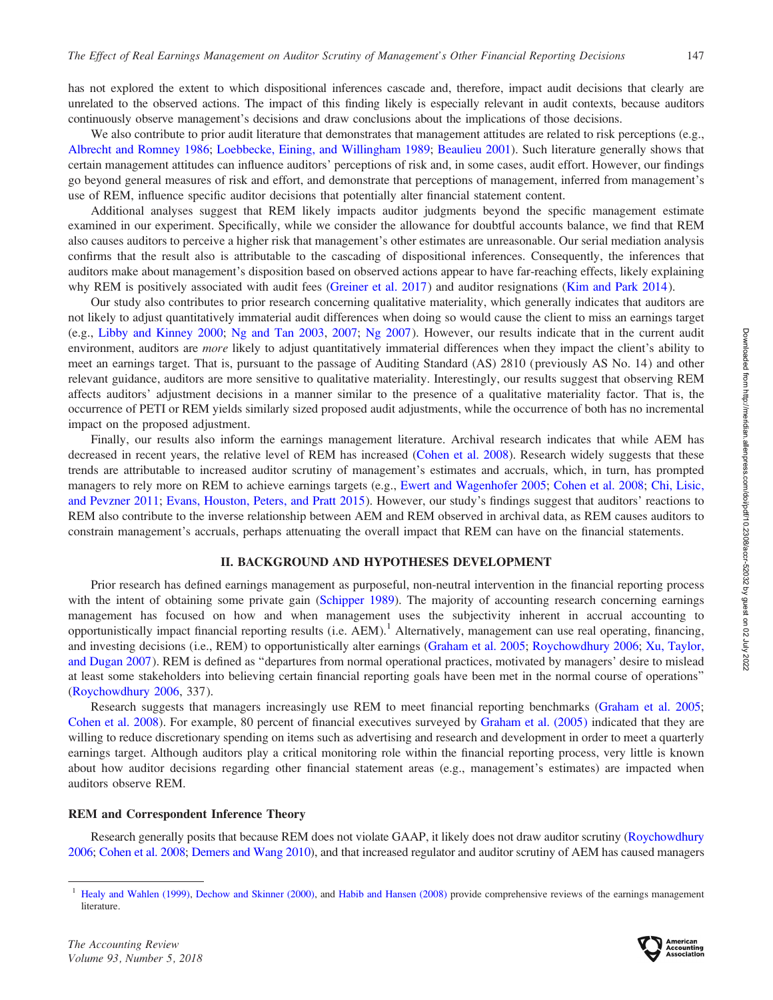has not explored the extent to which dispositional inferences cascade and, therefore, impact audit decisions that clearly are unrelated to the observed actions. The impact of this finding likely is especially relevant in audit contexts, because auditors continuously observe management's decisions and draw conclusions about the implications of those decisions.

We also contribute to prior audit literature that demonstrates that management attitudes are related to risk perceptions (e.g., [Albrecht and Romney 1986;](#page-16-0) [Loebbecke, Eining, and Willingham 1989;](#page-17-0) [Beaulieu 2001\)](#page-16-0). Such literature generally shows that certain management attitudes can influence auditors' perceptions of risk and, in some cases, audit effort. However, our findings go beyond general measures of risk and effort, and demonstrate that perceptions of management, inferred from management's use of REM, influence specific auditor decisions that potentially alter financial statement content.

Additional analyses suggest that REM likely impacts auditor judgments beyond the specific management estimate examined in our experiment. Specifically, while we consider the allowance for doubtful accounts balance, we find that REM also causes auditors to perceive a higher risk that management's other estimates are unreasonable. Our serial mediation analysis confirms that the result also is attributable to the cascading of dispositional inferences. Consequently, the inferences that auditors make about management's disposition based on observed actions appear to have far-reaching effects, likely explaining why REM is positively associated with audit fees ([Greiner et al. 2017](#page-17-0)) and auditor resignations ([Kim and Park 2014](#page-17-0)).

Our study also contributes to prior research concerning qualitative materiality, which generally indicates that auditors are not likely to adjust quantitatively immaterial audit differences when doing so would cause the client to miss an earnings target (e.g., [Libby and Kinney 2000;](#page-17-0) [Ng and Tan 2003,](#page-17-0) [2007](#page-17-0); [Ng 2007](#page-17-0)). However, our results indicate that in the current audit environment, auditors are *more* likely to adjust quantitatively immaterial differences when they impact the client's ability to meet an earnings target. That is, pursuant to the passage of Auditing Standard (AS) 2810 (previously AS No. 14) and other relevant guidance, auditors are more sensitive to qualitative materiality. Interestingly, our results suggest that observing REM affects auditors' adjustment decisions in a manner similar to the presence of a qualitative materiality factor. That is, the occurrence of PETI or REM yields similarly sized proposed audit adjustments, while the occurrence of both has no incremental impact on the proposed adjustment.

Finally, our results also inform the earnings management literature. Archival research indicates that while AEM has decreased in recent years, the relative level of REM has increased [\(Cohen et al. 2008](#page-16-0)). Research widely suggests that these trends are attributable to increased auditor scrutiny of management's estimates and accruals, which, in turn, has prompted managers to rely more on REM to achieve earnings targets (e.g., [Ewert and Wagenhofer 2005;](#page-16-0) [Cohen et al. 2008](#page-16-0); [Chi, Lisic,](#page-16-0) [and Pevzner 2011](#page-16-0); [Evans, Houston, Peters, and Pratt 2015](#page-16-0)). However, our study's findings suggest that auditors' reactions to REM also contribute to the inverse relationship between AEM and REM observed in archival data, as REM causes auditors to constrain management's accruals, perhaps attenuating the overall impact that REM can have on the financial statements.

## II. BACKGROUND AND HYPOTHESES DEVELOPMENT

Prior research has defined earnings management as purposeful, non-neutral intervention in the financial reporting process with the intent of obtaining some private gain [\(Schipper 1989\)](#page-18-0). The majority of accounting research concerning earnings management has focused on how and when management uses the subjectivity inherent in accrual accounting to opportunistically impact financial reporting results (i.e.  $AEM$ ).<sup>1</sup> Alternatively, management can use real operating, financing, and investing decisions (i.e., REM) to opportunistically alter earnings [\(Graham et al. 2005](#page-17-0); [Roychowdhury 2006](#page-18-0); [Xu, Taylor,](#page-18-0) [and Dugan 2007](#page-18-0)). REM is defined as ''departures from normal operational practices, motivated by managers' desire to mislead at least some stakeholders into believing certain financial reporting goals have been met in the normal course of operations'' [\(Roychowdhury 2006](#page-18-0), 337).

Research suggests that managers increasingly use REM to meet financial reporting benchmarks ([Graham et al. 2005](#page-17-0); [Cohen et al. 2008\)](#page-16-0). For example, 80 percent of financial executives surveyed by [Graham et al. \(2005\)](#page-17-0) indicated that they are willing to reduce discretionary spending on items such as advertising and research and development in order to meet a quarterly earnings target. Although auditors play a critical monitoring role within the financial reporting process, very little is known about how auditor decisions regarding other financial statement areas (e.g., management's estimates) are impacted when auditors observe REM.

#### REM and Correspondent Inference Theory

Research generally posits that because REM does not violate GAAP, it likely does not draw auditor scrutiny ([Roychowdhury](#page-18-0) [2006;](#page-18-0) [Cohen et al. 2008;](#page-16-0) [Demers and Wang 2010\)](#page-16-0), and that increased regulator and auditor scrutiny of AEM has caused managers



<sup>1</sup> [Healy and Wahlen \(1999\),](#page-17-0) [Dechow and Skinner \(2000\)](#page-16-0), and [Habib and Hansen \(2008\)](#page-17-0) provide comprehensive reviews of the earnings management literature.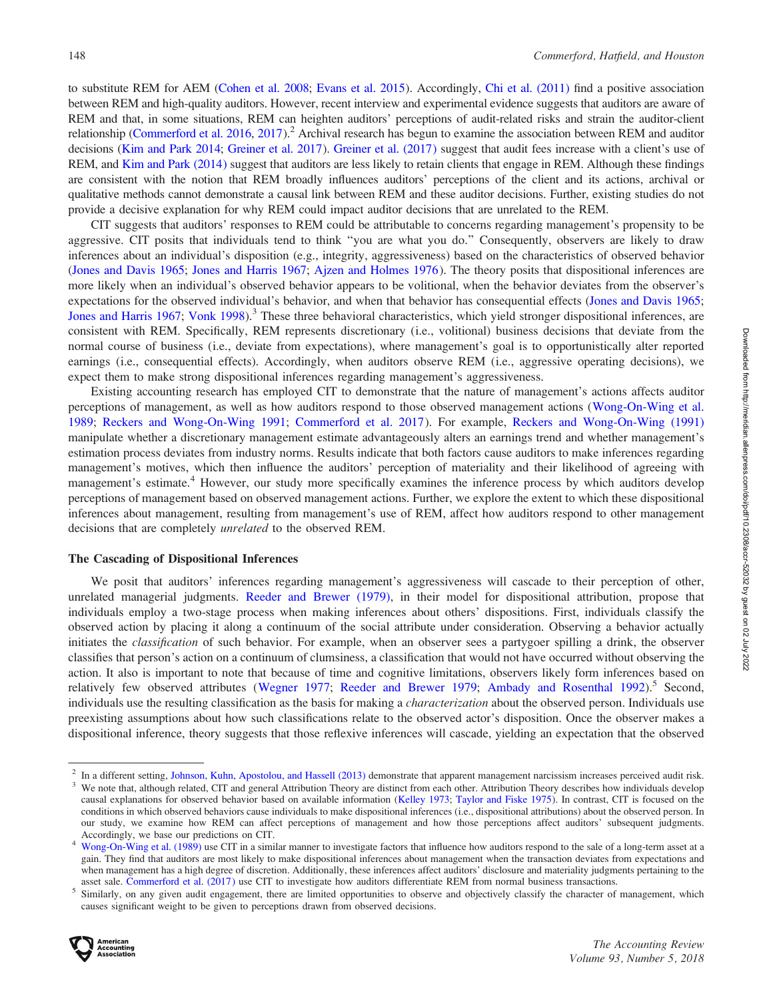to substitute REM for AEM [\(Cohen et al. 2008;](#page-16-0) [Evans et al. 2015](#page-16-0)). Accordingly, [Chi et al. \(2011\)](#page-16-0) find a positive association between REM and high-quality auditors. However, recent interview and experimental evidence suggests that auditors are aware of REM and that, in some situations, REM can heighten auditors' perceptions of audit-related risks and strain the auditor-client relationship [\(Commerford et al. 2016](#page-16-0), [2017](#page-16-0)).<sup>2</sup> Archival research has begun to examine the association between REM and auditor decisions [\(Kim and Park 2014;](#page-17-0) [Greiner et al. 2017](#page-17-0)). [Greiner et al. \(2017\)](#page-17-0) suggest that audit fees increase with a client's use of REM, and [Kim and Park \(2014\)](#page-17-0) suggest that auditors are less likely to retain clients that engage in REM. Although these findings are consistent with the notion that REM broadly influences auditors' perceptions of the client and its actions, archival or qualitative methods cannot demonstrate a causal link between REM and these auditor decisions. Further, existing studies do not provide a decisive explanation for why REM could impact auditor decisions that are unrelated to the REM.

CIT suggests that auditors' responses to REM could be attributable to concerns regarding management's propensity to be aggressive. CIT posits that individuals tend to think ''you are what you do.'' Consequently, observers are likely to draw inferences about an individual's disposition (e.g., integrity, aggressiveness) based on the characteristics of observed behavior [\(Jones and Davis 1965](#page-17-0); [Jones and Harris 1967;](#page-17-0) [Ajzen and Holmes 1976](#page-16-0)). The theory posits that dispositional inferences are more likely when an individual's observed behavior appears to be volitional, when the behavior deviates from the observer's expectations for the observed individual's behavior, and when that behavior has consequential effects [\(Jones and Davis 1965](#page-17-0); [Jones and Harris 1967;](#page-17-0) [Vonk 1998](#page-17-0)).<sup>3</sup> These three behavioral characteristics, which yield stronger dispositional inferences, are consistent with REM. Specifically, REM represents discretionary (i.e., volitional) business decisions that deviate from the normal course of business (i.e., deviate from expectations), where management's goal is to opportunistically alter reported earnings (i.e., consequential effects). Accordingly, when auditors observe REM (i.e., aggressive operating decisions), we expect them to make strong dispositional inferences regarding management's aggressiveness.

Existing accounting research has employed CIT to demonstrate that the nature of management's actions affects auditor perceptions of management, as well as how auditors respond to those observed management actions (Wong-On-Wing et al. 1989; [Reckers and Wong-On-Wing 1991;](#page-18-0) [Commerford et al. 2017](#page-16-0)). For example, [Reckers and Wong-On-Wing \(1991\)](#page-18-0) manipulate whether a discretionary management estimate advantageously alters an earnings trend and whether management's estimation process deviates from industry norms. Results indicate that both factors cause auditors to make inferences regarding management's motives, which then influence the auditors' perception of materiality and their likelihood of agreeing with management's estimate.<sup>4</sup> However, our study more specifically examines the inference process by which auditors develop perceptions of management based on observed management actions. Further, we explore the extent to which these dispositional inferences about management, resulting from management's use of REM, affect how auditors respond to other management decisions that are completely unrelated to the observed REM.

#### The Cascading of Dispositional Inferences

We posit that auditors' inferences regarding management's aggressiveness will cascade to their perception of other, unrelated managerial judgments. [Reeder and Brewer \(1979\)](#page-18-0), in their model for dispositional attribution, propose that individuals employ a two-stage process when making inferences about others' dispositions. First, individuals classify the observed action by placing it along a continuum of the social attribute under consideration. Observing a behavior actually initiates the *classification* of such behavior. For example, when an observer sees a partygoer spilling a drink, the observer classifies that person's action on a continuum of clumsiness, a classification that would not have occurred without observing the action. It also is important to note that because of time and cognitive limitations, observers likely form inferences based on relatively few observed attributes ([Wegner 1977](#page-18-0); [Reeder and Brewer 1979;](#page-18-0) [Ambady and Rosenthal 1992](#page-16-0)).<sup>5</sup> Second, individuals use the resulting classification as the basis for making a *characterization* about the observed person. Individuals use preexisting assumptions about how such classifications relate to the observed actor's disposition. Once the observer makes a dispositional inference, theory suggests that those reflexive inferences will cascade, yielding an expectation that the observed

asset sale. [Commerford et al. \(2017\)](#page-16-0) use CIT to investigate how auditors differentiate REM from normal business transactions.<br>Similarly, on any given audit engagement, there are limited opportunities to observe and objecti causes significant weight to be given to perceptions drawn from observed decisions.



In a different setting, [Johnson, Kuhn, Apostolou, and Hassell \(2013\)](#page-17-0) demonstrate that apparent management narcissism increases perceived audit risk.<br>We note that, although related, CIT and general Attribution Theory are di

causal explanations for observed behavior based on available information [\(Kelley 1973](#page-17-0); [Taylor and Fiske 1975](#page-18-0)). In contrast, CIT is focused on the conditions in which observed behaviors cause individuals to make dispositional inferences (i.e., dispositional attributions) about the observed person. In our study, we examine how REM can affect perceptions of management and how those perceptions affect auditors' subsequent judgments. Accordingly, we base our predictions on CIT.<br>Wong-On-Wing et al. (1989) use CIT in a similar manner to investigate factors that influence how auditors respond to the sale of a long-term asset at a

gain. They find that auditors are most likely to make dispositional inferences about management when the transaction deviates from expectations and when management has a high degree of discretion. Additionally, these inferences affect auditors' disclosure and materiality judgments pertaining to the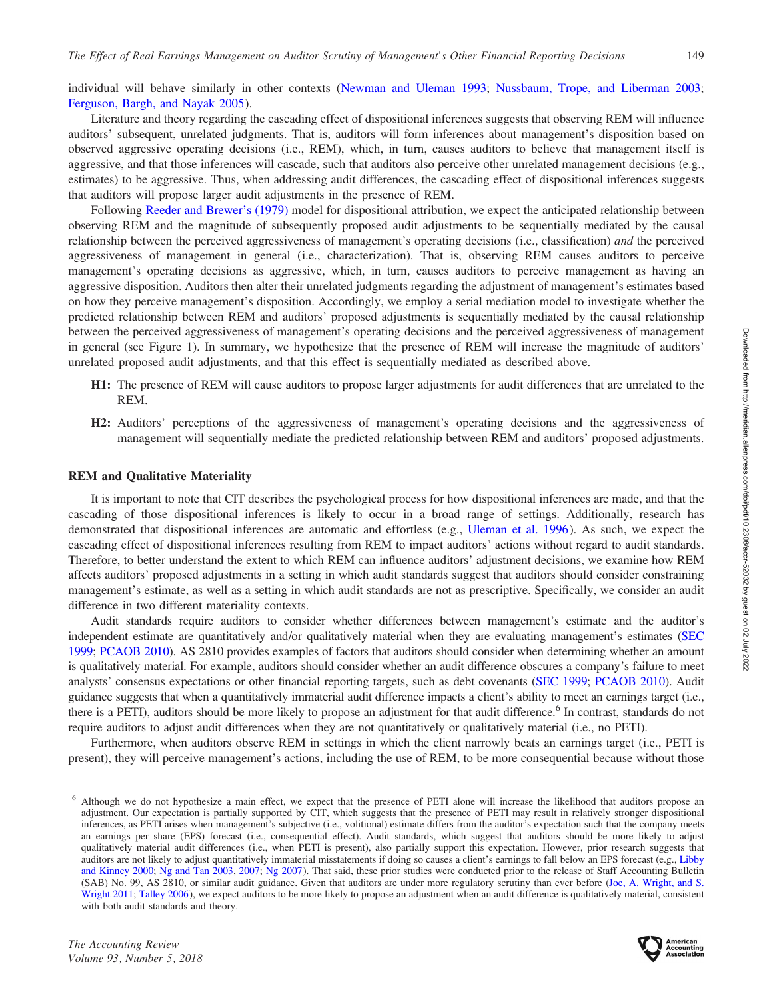individual will behave similarly in other contexts ([Newman and Uleman 1993;](#page-17-0) [Nussbaum, Trope, and Liberman 2003](#page-18-0); [Ferguson, Bargh, and Nayak 2005](#page-17-0)).

Literature and theory regarding the cascading effect of dispositional inferences suggests that observing REM will influence auditors' subsequent, unrelated judgments. That is, auditors will form inferences about management's disposition based on observed aggressive operating decisions (i.e., REM), which, in turn, causes auditors to believe that management itself is aggressive, and that those inferences will cascade, such that auditors also perceive other unrelated management decisions (e.g., estimates) to be aggressive. Thus, when addressing audit differences, the cascading effect of dispositional inferences suggests that auditors will propose larger audit adjustments in the presence of REM.

Following [Reeder and Brewer's \(1979\)](#page-18-0) model for dispositional attribution, we expect the anticipated relationship between observing REM and the magnitude of subsequently proposed audit adjustments to be sequentially mediated by the causal relationship between the perceived aggressiveness of management's operating decisions (i.e., classification) and the perceived aggressiveness of management in general (i.e., characterization). That is, observing REM causes auditors to perceive management's operating decisions as aggressive, which, in turn, causes auditors to perceive management as having an aggressive disposition. Auditors then alter their unrelated judgments regarding the adjustment of management's estimates based on how they perceive management's disposition. Accordingly, we employ a serial mediation model to investigate whether the predicted relationship between REM and auditors' proposed adjustments is sequentially mediated by the causal relationship between the perceived aggressiveness of management's operating decisions and the perceived aggressiveness of management in general (see Figure 1). In summary, we hypothesize that the presence of REM will increase the magnitude of auditors' unrelated proposed audit adjustments, and that this effect is sequentially mediated as described above.

- H1: The presence of REM will cause auditors to propose larger adjustments for audit differences that are unrelated to the REM.
- H2: Auditors' perceptions of the aggressiveness of management's operating decisions and the aggressiveness of management will sequentially mediate the predicted relationship between REM and auditors' proposed adjustments.

#### REM and Qualitative Materiality

It is important to note that CIT describes the psychological process for how dispositional inferences are made, and that the cascading of those dispositional inferences is likely to occur in a broad range of settings. Additionally, research has demonstrated that dispositional inferences are automatic and effortless (e.g., [Uleman et al. 1996](#page-18-0)). As such, we expect the cascading effect of dispositional inferences resulting from REM to impact auditors' actions without regard to audit standards. Therefore, to better understand the extent to which REM can influence auditors' adjustment decisions, we examine how REM affects auditors' proposed adjustments in a setting in which audit standards suggest that auditors should consider constraining management's estimate, as well as a setting in which audit standards are not as prescriptive. Specifically, we consider an audit difference in two different materiality contexts.

Audit standards require auditors to consider whether differences between management's estimate and the auditor's independent estimate are quantitatively and/or qualitatively material when they are evaluating management's estimates [\(SEC](#page-18-0) [1999;](#page-18-0) [PCAOB 2010\)](#page-18-0). AS 2810 provides examples of factors that auditors should consider when determining whether an amount is qualitatively material. For example, auditors should consider whether an audit difference obscures a company's failure to meet analysts' consensus expectations or other financial reporting targets, such as debt covenants ([SEC 1999](#page-18-0); [PCAOB 2010\)](#page-18-0). Audit guidance suggests that when a quantitatively immaterial audit difference impacts a client's ability to meet an earnings target (i.e., there is a PETI), auditors should be more likely to propose an adjustment for that audit difference.<sup>6</sup> In contrast, standards do not require auditors to adjust audit differences when they are not quantitatively or qualitatively material (i.e., no PETI).

Furthermore, when auditors observe REM in settings in which the client narrowly beats an earnings target (i.e., PETI is present), they will perceive management's actions, including the use of REM, to be more consequential because without those



<sup>6</sup> Although we do not hypothesize a main effect, we expect that the presence of PETI alone will increase the likelihood that auditors propose an adjustment. Our expectation is partially supported by CIT, which suggests that the presence of PETI may result in relatively stronger dispositional inferences, as PETI arises when management's subjective (i.e., volitional) estimate differs from the auditor's expectation such that the company meets an earnings per share (EPS) forecast (i.e., consequential effect). Audit standards, which suggest that auditors should be more likely to adjust qualitatively material audit differences (i.e., when PETI is present), also partially support this expectation. However, prior research suggests that auditors are not likely to adjust quantitatively immaterial misstatements if doing so causes a client's earnings to fall below an EPS forecast (e.g., [Libby](#page-17-0) [and Kinney 2000;](#page-17-0) [Ng and Tan 2003,](#page-17-0) [2007;](#page-17-0) [Ng 2007](#page-17-0)). That said, these prior studies were conducted prior to the release of Staff Accounting Bulletin (SAB) No. 99, AS 2810, or similar audit guidance. Given that auditors are under more regulatory scrutiny than ever before ([Joe, A. Wright, and S.](#page-18-0) [Wright 2011;](#page-18-0) [Talley 2006](#page-18-0)), we expect auditors to be more likely to propose an adjustment when an audit difference is qualitatively material, consistent with both audit standards and theory.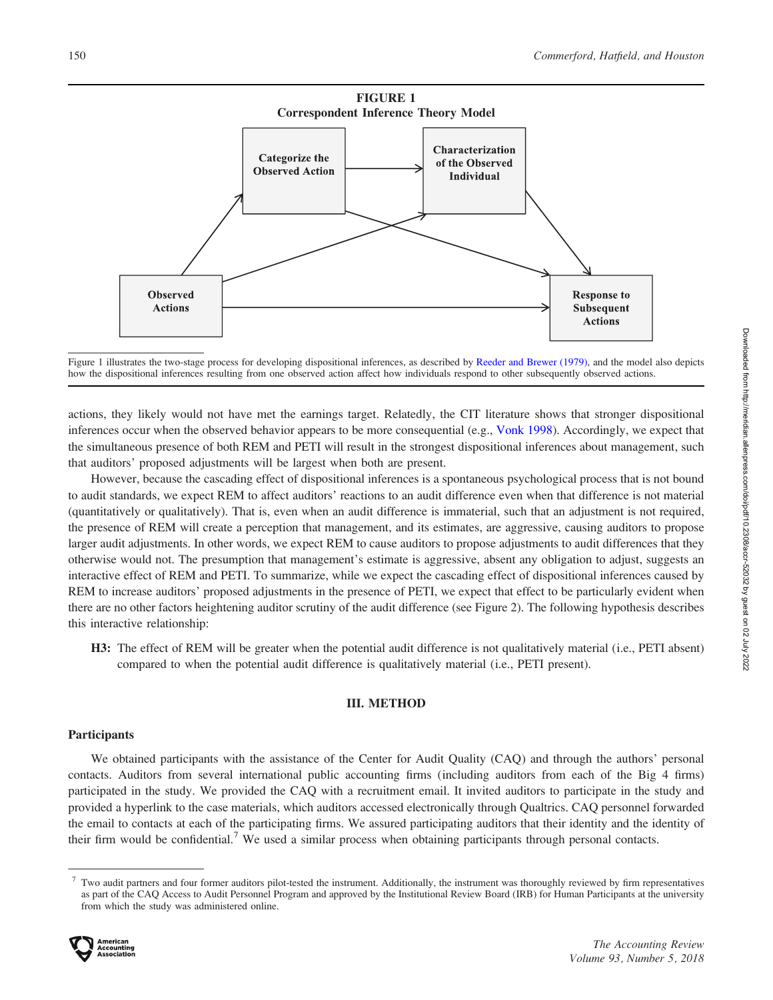

Figure 1 illustrates the two-stage process for developing dispositional inferences, as described by [Reeder and Brewer \(1979\)](#page-18-0), and the model also depicts how the dispositional inferences resulting from one observed action affect how individuals respond to other subsequently observed actions.

actions, they likely would not have met the earnings target. Relatedly, the CIT literature shows that stronger dispositional inferences occur when the observed behavior appears to be more consequential (e.g., [Vonk 1998\)](#page-17-0). Accordingly, we expect that the simultaneous presence of both REM and PETI will result in the strongest dispositional inferences about management, such that auditors' proposed adjustments will be largest when both are present.

However, because the cascading effect of dispositional inferences is a spontaneous psychological process that is not bound to audit standards, we expect REM to affect auditors' reactions to an audit difference even when that difference is not material (quantitatively or qualitatively). That is, even when an audit difference is immaterial, such that an adjustment is not required, the presence of REM will create a perception that management, and its estimates, are aggressive, causing auditors to propose larger audit adjustments. In other words, we expect REM to cause auditors to propose adjustments to audit differences that they otherwise would not. The presumption that management's estimate is aggressive, absent any obligation to adjust, suggests an interactive effect of REM and PETI. To summarize, while we expect the cascading effect of dispositional inferences caused by REM to increase auditors' proposed adjustments in the presence of PETI, we expect that effect to be particularly evident when there are no other factors heightening auditor scrutiny of the audit difference (see Figure 2). The following hypothesis describes this interactive relationship:

H3: The effect of REM will be greater when the potential audit difference is not qualitatively material (i.e., PETI absent) compared to when the potential audit difference is qualitatively material (i.e., PETI present).

### III. METHOD

### **Participants**

We obtained participants with the assistance of the Center for Audit Quality (CAQ) and through the authors' personal contacts. Auditors from several international public accounting firms (including auditors from each of the Big 4 firms) participated in the study. We provided the CAQ with a recruitment email. It invited auditors to participate in the study and provided a hyperlink to the case materials, which auditors accessed electronically through Qualtrics. CAQ personnel forwarded the email to contacts at each of the participating firms. We assured participating auditors that their identity and the identity of their firm would be confidential.<sup>7</sup> We used a similar process when obtaining participants through personal contacts.

<sup>7</sup> Two audit partners and four former auditors pilot-tested the instrument. Additionally, the instrument was thoroughly reviewed by firm representatives as part of the CAQ Access to Audit Personnel Program and approved by the Institutional Review Board (IRB) for Human Participants at the university from which the study was administered online.

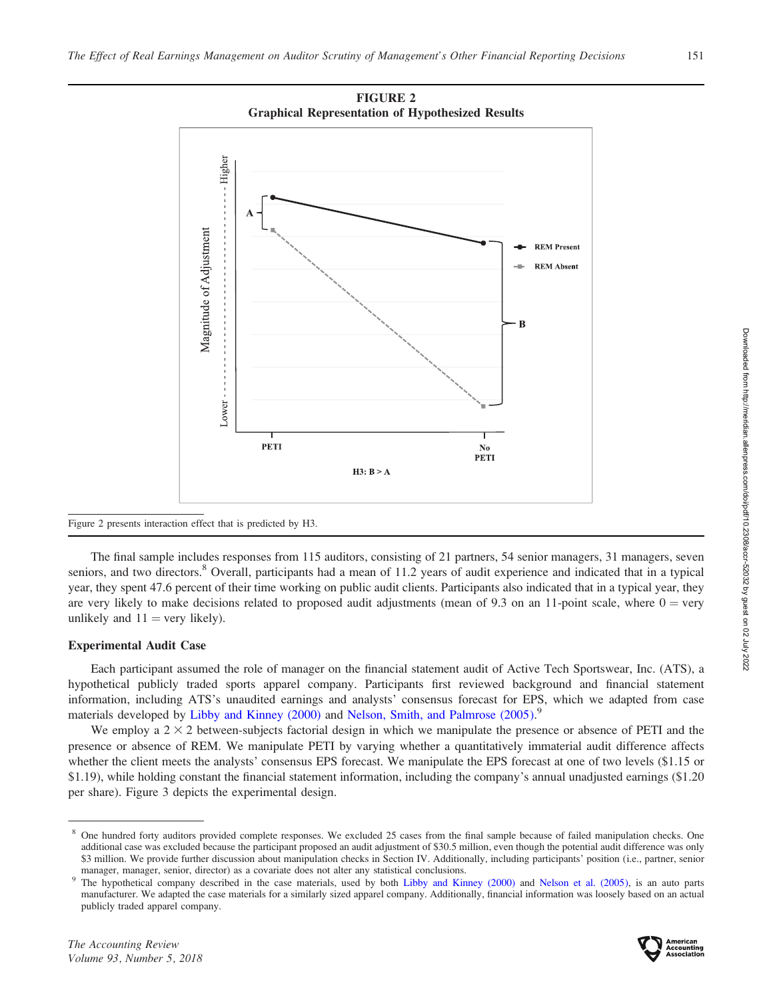

FIGURE 2

#### Figure 2 presents interaction effect that is predicted by H3.

The final sample includes responses from 115 auditors, consisting of 21 partners, 54 senior managers, 31 managers, seven seniors, and two directors.<sup>8</sup> Overall, participants had a mean of 11.2 years of audit experience and indicated that in a typical year, they spent 47.6 percent of their time working on public audit clients. Participants also indicated that in a typical year, they are very likely to make decisions related to proposed audit adjustments (mean of 9.3 on an 11-point scale, where  $0 = \text{very}$ unlikely and  $11 = \text{very likely}$ .

## Experimental Audit Case

Each participant assumed the role of manager on the financial statement audit of Active Tech Sportswear, Inc. (ATS), a hypothetical publicly traded sports apparel company. Participants first reviewed background and financial statement information, including ATS's unaudited earnings and analysts' consensus forecast for EPS, which we adapted from case materials developed by [Libby and Kinney \(2000\)](#page-17-0) and [Nelson, Smith, and Palmrose \(2005\)](#page-17-0).<sup>9</sup>

We employ a  $2 \times 2$  between-subjects factorial design in which we manipulate the presence or absence of PETI and the presence or absence of REM. We manipulate PETI by varying whether a quantitatively immaterial audit difference affects whether the client meets the analysts' consensus EPS forecast. We manipulate the EPS forecast at one of two levels (\$1.15 or \$1.19), while holding constant the financial statement information, including the company's annual unadjusted earnings (\$1.20 per share). Figure 3 depicts the experimental design.



<sup>8</sup> One hundred forty auditors provided complete responses. We excluded 25 cases from the final sample because of failed manipulation checks. One additional case was excluded because the participant proposed an audit adjustment of \$30.5 million, even though the potential audit difference was only \$3 million. We provide further discussion about manipulation checks in Section IV. Additionally, including participants' position (i.e., partner, senior manager, manager, senior, director) as a covariate does not alter any statistical conclusions.<br><sup>9</sup> The hypothetical company described in the case materials, used by both [Libby and Kinney \(2000\)](#page-17-0) and [Nelson et al. \(2005\),](#page-17-0) is

manufacturer. We adapted the case materials for a similarly sized apparel company. Additionally, financial information was loosely based on an actual publicly traded apparel company.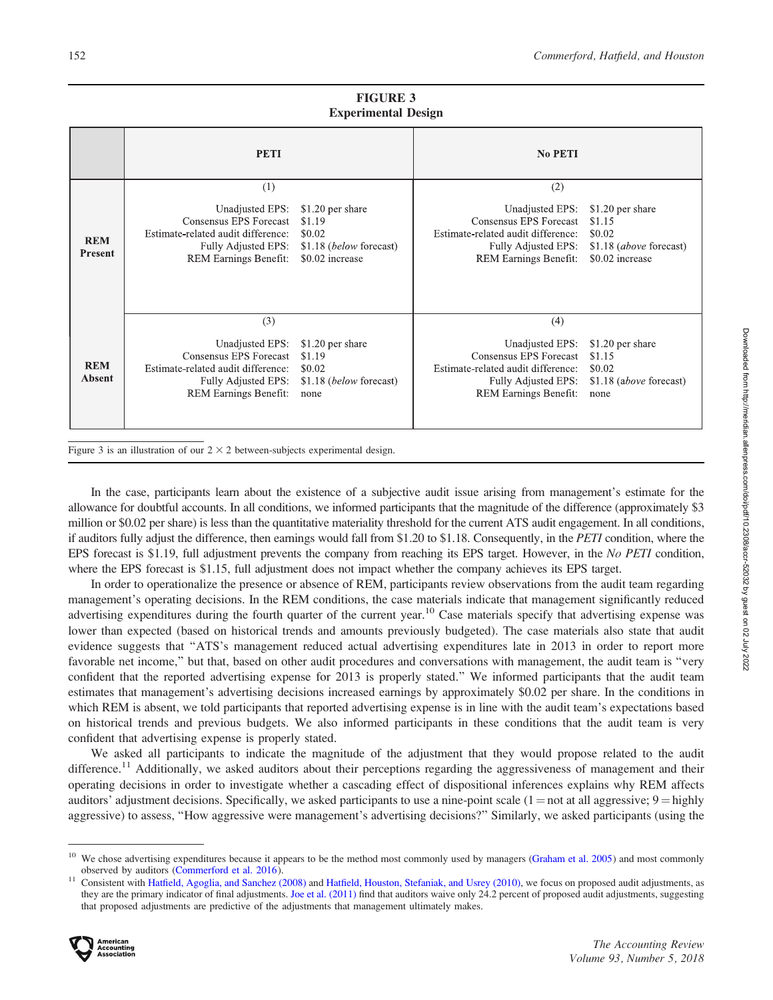|                              | <b>PETI</b>                                                                                                                                   |                                                                                    | <b>No PETI</b>                                                                                                                                |                                                                                    |
|------------------------------|-----------------------------------------------------------------------------------------------------------------------------------------------|------------------------------------------------------------------------------------|-----------------------------------------------------------------------------------------------------------------------------------------------|------------------------------------------------------------------------------------|
| <b>REM</b><br><b>Present</b> | (1)<br>Unadjusted EPS:<br>Consensus EPS Forecast<br>Estimate-related audit difference:<br>Fully Adjusted EPS:<br>REM Earnings Benefit:        | \$1.20 per share<br>\$1.19<br>\$0.02<br>\$1.18 (below forecast)<br>\$0.02 increase | (2)<br>Unadjusted EPS:<br>Consensus EPS Forecast<br>Estimate-related audit difference:<br>Fully Adjusted EPS:<br><b>REM Earnings Benefit:</b> | \$1.20 per share<br>\$1.15<br>\$0.02<br>\$1.18 (above forecast)<br>\$0.02 increase |
| <b>REM</b><br><b>Absent</b>  | (3)<br>Unadjusted EPS:<br>Consensus EPS Forecast<br>Estimate-related audit difference:<br>Fully Adjusted EPS:<br><b>REM Earnings Benefit:</b> | \$1.20 per share<br>\$1.19<br>\$0.02<br>\$1.18 ( <i>below</i> forecast)<br>none    | (4)<br>Unadjusted EPS:<br>Consensus EPS Forecast<br>Estimate-related audit difference:<br>Fully Adjusted EPS:<br>REM Earnings Benefit:        | \$1.20 per share<br>\$1.15<br>\$0.02<br>\$1.18 (above forecast)<br>none            |

FIGURE 3 Experimental Design

Figure 3 is an illustration of our  $2 \times 2$  between-subjects experimental design.

In the case, participants learn about the existence of a subjective audit issue arising from management's estimate for the allowance for doubtful accounts. In all conditions, we informed participants that the magnitude of the difference (approximately \$3 million or \$0.02 per share) is less than the quantitative materiality threshold for the current ATS audit engagement. In all conditions, if auditors fully adjust the difference, then earnings would fall from \$1.20 to \$1.18. Consequently, in the PETI condition, where the EPS forecast is \$1.19, full adjustment prevents the company from reaching its EPS target. However, in the No PETI condition, where the EPS forecast is \$1.15, full adjustment does not impact whether the company achieves its EPS target.

In order to operationalize the presence or absence of REM, participants review observations from the audit team regarding management's operating decisions. In the REM conditions, the case materials indicate that management significantly reduced advertising expenditures during the fourth quarter of the current year.<sup>10</sup> Case materials specify that advertising expense was lower than expected (based on historical trends and amounts previously budgeted). The case materials also state that audit evidence suggests that ''ATS's management reduced actual advertising expenditures late in 2013 in order to report more favorable net income,'' but that, based on other audit procedures and conversations with management, the audit team is ''very confident that the reported advertising expense for 2013 is properly stated.'' We informed participants that the audit team estimates that management's advertising decisions increased earnings by approximately \$0.02 per share. In the conditions in which REM is absent, we told participants that reported advertising expense is in line with the audit team's expectations based on historical trends and previous budgets. We also informed participants in these conditions that the audit team is very confident that advertising expense is properly stated.

We asked all participants to indicate the magnitude of the adjustment that they would propose related to the audit difference.<sup>11</sup> Additionally, we asked auditors about their perceptions regarding the aggressiveness of management and their operating decisions in order to investigate whether a cascading effect of dispositional inferences explains why REM affects auditors' adjustment decisions. Specifically, we asked participants to use a nine-point scale ( $1 = not$  at all aggressive;  $9 =$ highly aggressive) to assess, ''How aggressive were management's advertising decisions?'' Similarly, we asked participants (using the

We chose advertising expenditures because it appears to be the method most commonly used by managers ([Graham et al. 2005](#page-17-0)) and most commonly observed by auditors [\(Commerford et al. 2016](#page-16-0)).<br><sup>11</sup> Consistent with [Hatfield, Agoglia, and Sanchez \(2008\)](#page-17-0) and [Hatfield, Houston, Stefaniak, and Usrey \(2010\)](#page-17-0), we focus on proposed audit adjustments, as

they are the primary indicator of final adjustments. [Joe et al. \(2011\)](#page-17-0) find that auditors waive only 24.2 percent of proposed audit adjustments, suggesting that proposed adjustments are predictive of the adjustments that management ultimately makes.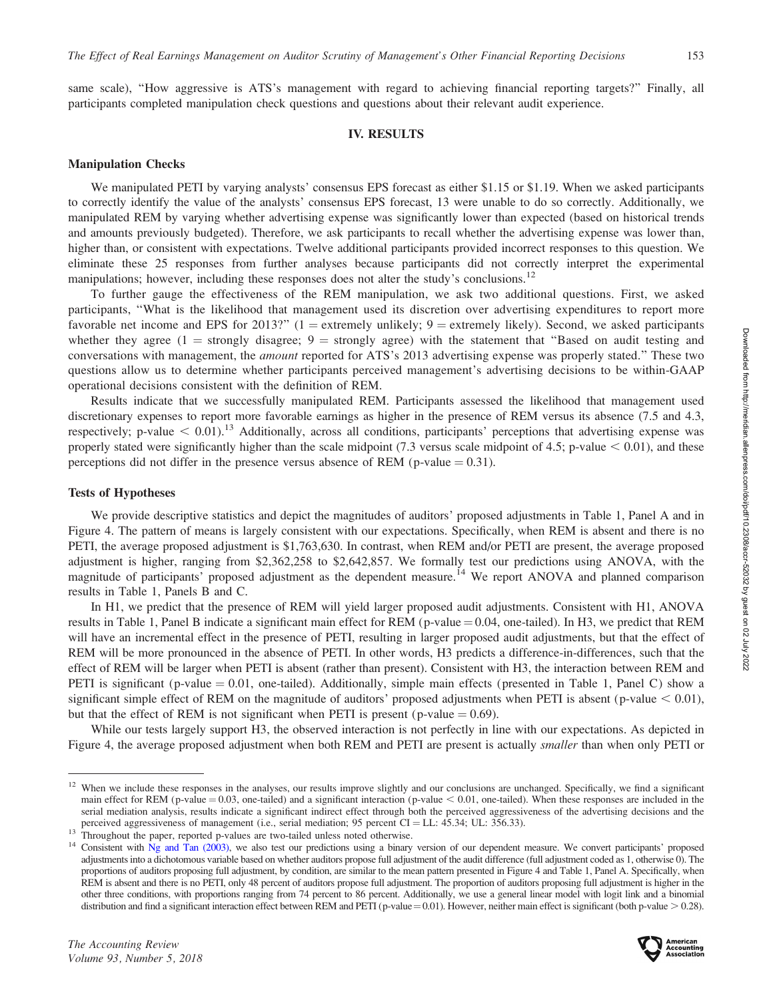same scale), "How aggressive is ATS's management with regard to achieving financial reporting targets?" Finally, all participants completed manipulation check questions and questions about their relevant audit experience.

## IV. RESULTS

## Manipulation Checks

We manipulated PETI by varying analysts' consensus EPS forecast as either \$1.15 or \$1.19. When we asked participants to correctly identify the value of the analysts' consensus EPS forecast, 13 were unable to do so correctly. Additionally, we manipulated REM by varying whether advertising expense was significantly lower than expected (based on historical trends and amounts previously budgeted). Therefore, we ask participants to recall whether the advertising expense was lower than, higher than, or consistent with expectations. Twelve additional participants provided incorrect responses to this question. We eliminate these 25 responses from further analyses because participants did not correctly interpret the experimental manipulations; however, including these responses does not alter the study's conclusions.<sup>12</sup>

To further gauge the effectiveness of the REM manipulation, we ask two additional questions. First, we asked participants, ''What is the likelihood that management used its discretion over advertising expenditures to report more favorable net income and EPS for 2013?" (1 = extremely unlikely;  $9$  = extremely likely). Second, we asked participants whether they agree (1 = strongly disagree; 9 = strongly agree) with the statement that "Based on audit testing and conversations with management, the *amount* reported for ATS's 2013 advertising expense was properly stated." These two questions allow us to determine whether participants perceived management's advertising decisions to be within-GAAP operational decisions consistent with the definition of REM.

Results indicate that we successfully manipulated REM. Participants assessed the likelihood that management used discretionary expenses to report more favorable earnings as higher in the presence of REM versus its absence (7.5 and 4.3, respectively; p-value  $< 0.01$ ).<sup>13</sup> Additionally, across all conditions, participants' perceptions that advertising expense was properly stated were significantly higher than the scale midpoint (7.3 versus scale midpoint of 4.5; p-value  $< 0.01$ ), and these perceptions did not differ in the presence versus absence of REM (p-value  $= 0.31$ ).

## Tests of Hypotheses

We provide descriptive statistics and depict the magnitudes of auditors' proposed adjustments in Table 1, Panel A and in Figure 4. The pattern of means is largely consistent with our expectations. Specifically, when REM is absent and there is no PETI, the average proposed adjustment is \$1,763,630. In contrast, when REM and/or PETI are present, the average proposed adjustment is higher, ranging from \$2,362,258 to \$2,642,857. We formally test our predictions using ANOVA, with the magnitude of participants' proposed adjustment as the dependent measure.<sup>14</sup> We report ANOVA and planned comparison results in Table 1, Panels B and C.

In H1, we predict that the presence of REM will yield larger proposed audit adjustments. Consistent with H1, ANOVA results in Table 1, Panel B indicate a significant main effect for REM (p-value  $= 0.04$ , one-tailed). In H3, we predict that REM will have an incremental effect in the presence of PETI, resulting in larger proposed audit adjustments, but that the effect of REM will be more pronounced in the absence of PETI. In other words, H3 predicts a difference-in-differences, such that the effect of REM will be larger when PETI is absent (rather than present). Consistent with H3, the interaction between REM and PETI is significant (p-value  $= 0.01$ , one-tailed). Additionally, simple main effects (presented in Table 1, Panel C) show a significant simple effect of REM on the magnitude of auditors' proposed adjustments when PETI is absent (p-value  $< 0.01$ ), but that the effect of REM is not significant when PETI is present (p-value  $= 0.69$ ).

While our tests largely support H3, the observed interaction is not perfectly in line with our expectations. As depicted in Figure 4, the average proposed adjustment when both REM and PETI are present is actually smaller than when only PETI or

<sup>&</sup>lt;sup>12</sup> When we include these responses in the analyses, our results improve slightly and our conclusions are unchanged. Specifically, we find a significant main effect for REM (p-value  $= 0.03$ , one-tailed) and a significant interaction (p-value  $< 0.01$ , one-tailed). When these responses are included in the serial mediation analysis, results indicate a significant indirect effect through both the perceived aggressiveness of the advertising decisions and the perceived aggressiveness of management (i.e., serial mediation; 95 pe

<sup>&</sup>lt;sup>13</sup> Throughout the paper, reported p-values are two-tailed unless noted otherwise.<br><sup>14</sup> Consistent with [Ng and Tan \(2003\)](#page-17-0), we also test our predictions using a binary version of our dependent measure. We convert particip adjustments into a dichotomous variable based on whether auditors propose full adjustment of the audit difference (full adjustment coded as 1, otherwise 0). The proportions of auditors proposing full adjustment, by condition, are similar to the mean pattern presented in Figure 4 and Table 1, Panel A. Specifically, when REM is absent and there is no PETI, only 48 percent of auditors propose full adjustment. The proportion of auditors proposing full adjustment is higher in the other three conditions, with proportions ranging from 74 percent to 86 percent. Additionally, we use a general linear model with logit link and a binomial distribution and find a significant interaction effect between REM and PETI (p-value = 0.01). However, neither main effect is significant (both p-value  $> 0.28$ ).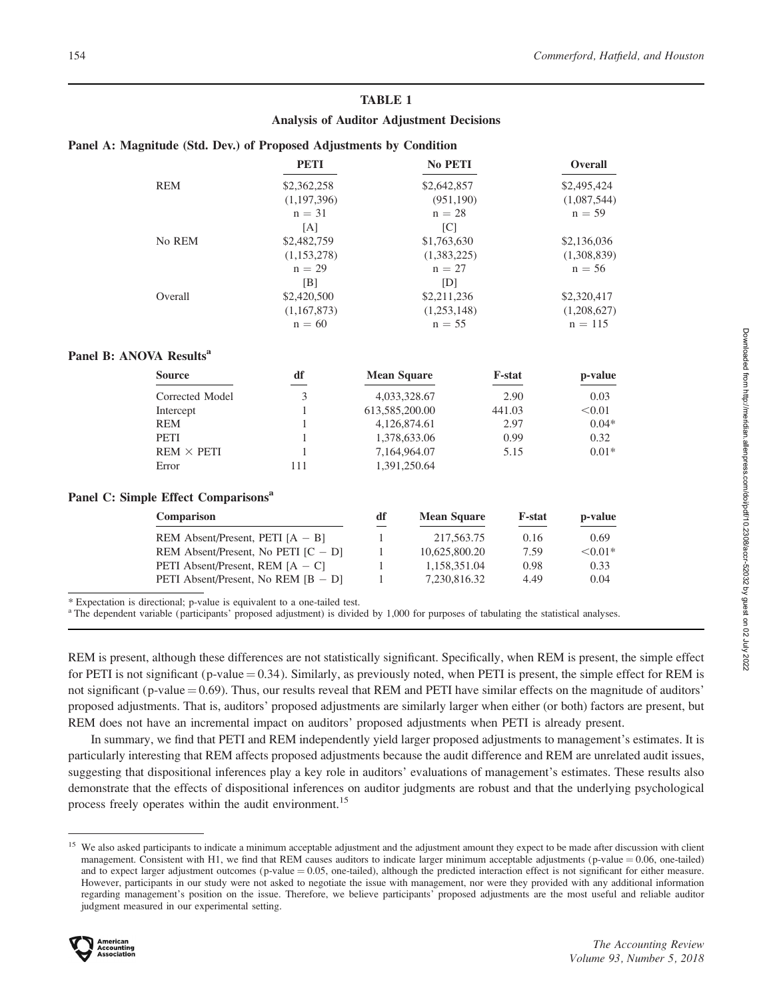## TABLE 1

## Analysis of Auditor Adjustment Decisions

### Panel A: Magnitude (Std. Dev.) of Proposed Adjustments by Condition

| <b>PETI</b>                                     |              | No PETI                                    |                                                                                                                                     | Overall       |
|-------------------------------------------------|--------------|--------------------------------------------|-------------------------------------------------------------------------------------------------------------------------------------|---------------|
| \$2,362,258                                     |              | \$2,642,857                                |                                                                                                                                     | \$2,495,424   |
| (1,197,396)                                     |              | (951, 190)                                 |                                                                                                                                     | (1,087,544)   |
| $n = 31$                                        |              | $n = 28$                                   |                                                                                                                                     | $n = 59$      |
| [A]                                             |              | [C]                                        |                                                                                                                                     |               |
| No REM<br>\$2,482,759                           |              | \$1,763,630                                |                                                                                                                                     | \$2,136,036   |
| (1,153,278)                                     |              | (1,383,225)                                |                                                                                                                                     | (1,308,839)   |
| $n = 29$                                        |              | $n = 27$                                   |                                                                                                                                     | $n = 56$      |
| [B]                                             |              | [D]                                        |                                                                                                                                     |               |
|                                                 |              |                                            |                                                                                                                                     | \$2,320,417   |
| (1,167,873)                                     |              | (1,253,148)                                |                                                                                                                                     | (1,208,627)   |
| $n = 60$                                        |              | $n = 55$                                   |                                                                                                                                     | $n = 115$     |
| Panel B: ANOVA Results <sup>a</sup>             |              |                                            |                                                                                                                                     |               |
| df                                              |              |                                            | <b>F-stat</b>                                                                                                                       | p-value       |
| 3<br>Corrected Model                            |              |                                            | 2.90                                                                                                                                | 0.03          |
| 1                                               |              |                                            | 441.03                                                                                                                              | < 0.01        |
| $\mathbf{1}$                                    |              |                                            | 2.97                                                                                                                                | $0.04*$       |
| 1                                               |              |                                            | 0.99                                                                                                                                | 0.32          |
| $REM \times PETI$<br>1                          |              |                                            | 5.15                                                                                                                                | $0.01*$       |
| 111                                             |              |                                            |                                                                                                                                     |               |
| Panel C: Simple Effect Comparisons <sup>a</sup> |              |                                            |                                                                                                                                     |               |
| Comparison                                      | df           | <b>Mean Square</b>                         | <b>F-stat</b>                                                                                                                       | p-value       |
| REM Absent/Present, PETI $[A - B]$              | $\mathbf{1}$ | 217,563.75                                 | 0.16                                                                                                                                | 0.69          |
| REM Absent/Present, No PETI $[C - D]$           |              |                                            | 7.59                                                                                                                                | $< 0.01*$     |
| PETI Absent/Present, REM $[A - C]$              | $\mathbf{1}$ | 1,158,351.04                               | 0.98                                                                                                                                | 0.33          |
|                                                 | 1            | 7,230,816.32                               | 4.49                                                                                                                                | 0.04          |
|                                                 | \$2,420,500  | 1<br>PETI Absent/Present, No REM $[B - D]$ | \$2,211,236<br><b>Mean Square</b><br>4,033,328.67<br>613,585,200.00<br>4,126,874.61<br>1,378,633.06<br>7,164,964.07<br>1,391,250.64 | 10,625,800.20 |

\* Expectation is directional; p-value is equivalent to a one-tailed test.

<sup>a</sup> The dependent variable (participants' proposed adjustment) is divided by 1,000 for purposes of tabulating the statistical analyses.

REM is present, although these differences are not statistically significant. Specifically, when REM is present, the simple effect for PETI is not significant (p-value  $= 0.34$ ). Similarly, as previously noted, when PETI is present, the simple effect for REM is not significant (p-value  $= 0.69$ ). Thus, our results reveal that REM and PETI have similar effects on the magnitude of auditors' proposed adjustments. That is, auditors' proposed adjustments are similarly larger when either (or both) factors are present, but REM does not have an incremental impact on auditors' proposed adjustments when PETI is already present.

In summary, we find that PETI and REM independently yield larger proposed adjustments to management's estimates. It is particularly interesting that REM affects proposed adjustments because the audit difference and REM are unrelated audit issues, suggesting that dispositional inferences play a key role in auditors' evaluations of management's estimates. These results also demonstrate that the effects of dispositional inferences on auditor judgments are robust and that the underlying psychological process freely operates within the audit environment.<sup>15</sup>

<sup>&</sup>lt;sup>15</sup> We also asked participants to indicate a minimum acceptable adjustment and the adjustment amount they expect to be made after discussion with client management. Consistent with H1, we find that REM causes auditors to indicate larger minimum acceptable adjustments (p-value  $= 0.06$ , one-tailed) and to expect larger adjustment outcomes (p-value  $= 0.05$ , one-tailed), although the predicted interaction effect is not significant for either measure. However, participants in our study were not asked to negotiate the issue with management, nor were they provided with any additional information regarding management's position on the issue. Therefore, we believe participants' proposed adjustments are the most useful and reliable auditor judgment measured in our experimental setting.



Panel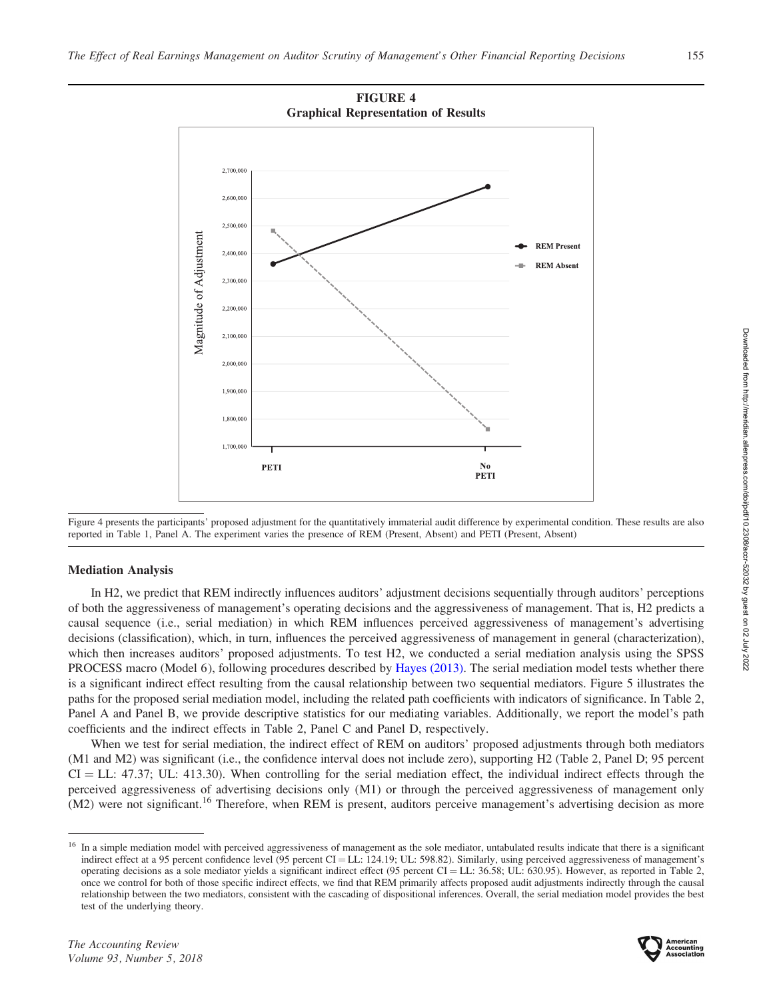



## Mediation Analysis

In H2, we predict that REM indirectly influences auditors' adjustment decisions sequentially through auditors' perceptions of both the aggressiveness of management's operating decisions and the aggressiveness of management. That is, H2 predicts a causal sequence (i.e., serial mediation) in which REM influences perceived aggressiveness of management's advertising decisions (classification), which, in turn, influences the perceived aggressiveness of management in general (characterization), which then increases auditors' proposed adjustments. To test H2, we conducted a serial mediation analysis using the SPSS PROCESS macro (Model 6), following procedures described by [Hayes \(2013\)](#page-17-0). The serial mediation model tests whether there is a significant indirect effect resulting from the causal relationship between two sequential mediators. Figure 5 illustrates the paths for the proposed serial mediation model, including the related path coefficients with indicators of significance. In Table 2, Panel A and Panel B, we provide descriptive statistics for our mediating variables. Additionally, we report the model's path coefficients and the indirect effects in Table 2, Panel C and Panel D, respectively.

When we test for serial mediation, the indirect effect of REM on auditors' proposed adjustments through both mediators (M1 and M2) was significant (i.e., the confidence interval does not include zero), supporting H2 (Table 2, Panel D; 95 percent  $CI = LL: 47.37$ ; UL: 413.30). When controlling for the serial mediation effect, the individual indirect effects through the perceived aggressiveness of advertising decisions only (M1) or through the perceived aggressiveness of management only (M2) were not significant.<sup>16</sup> Therefore, when REM is present, auditors perceive management's advertising decision as more



<sup>&</sup>lt;sup>16</sup> In a simple mediation model with perceived aggressiveness of management as the sole mediator, untabulated results indicate that there is a significant indirect effect at a 95 percent confidence level (95 percent CI = LL: 124.19; UL: 598.82). Similarly, using perceived aggressiveness of management's operating decisions as a sole mediator yields a significant indirect effect  $(95 \text{ percent CI} = LL: 36.58; UL: 630.95)$ . However, as reported in Table 2, once we control for both of those specific indirect effects, we find that REM primarily affects proposed audit adjustments indirectly through the causal relationship between the two mediators, consistent with the cascading of dispositional inferences. Overall, the serial mediation model provides the best test of the underlying theory.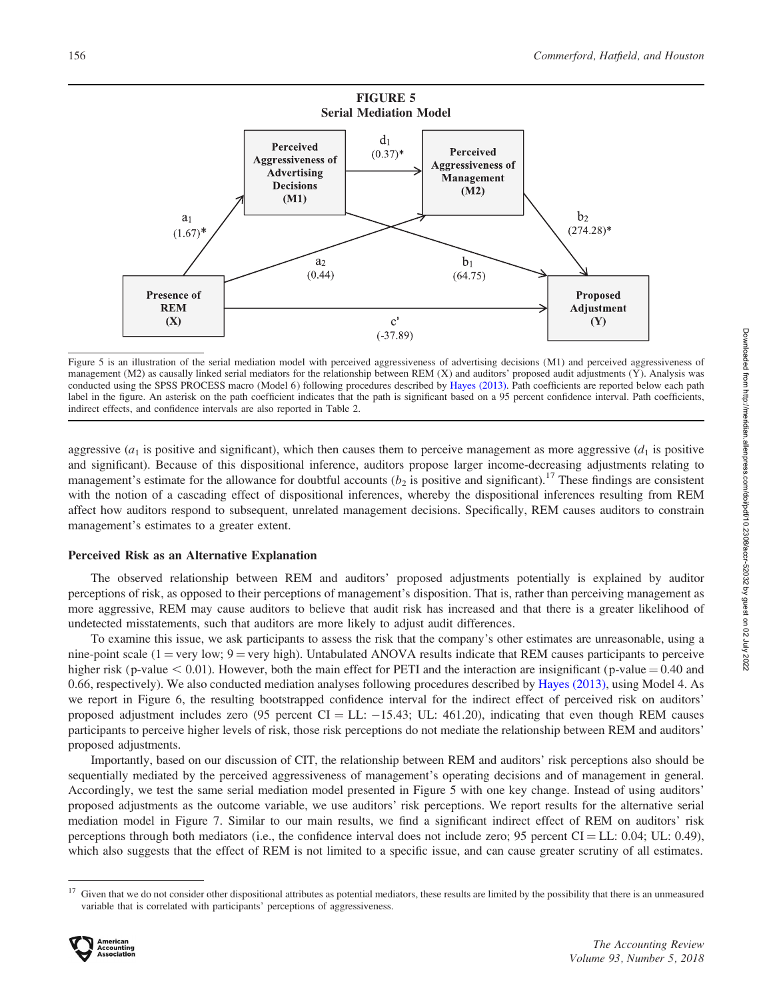

Figure 5 is an illustration of the serial mediation model with perceived aggressiveness of advertising decisions (M1) and perceived aggressiveness of management (M2) as causally linked serial mediators for the relationship between REM (X) and auditors' proposed audit adjustments (Y). Analysis was conducted using the SPSS PROCESS macro (Model 6) following procedures described by [Hayes \(2013\)](#page-17-0). Path coefficients are reported below each path label in the figure. An asterisk on the path coefficient indicates that the path is significant based on a 95 percent confidence interval. Path coefficients, indirect effects, and confidence intervals are also reported in Table 2.

aggressive ( $a_1$  is positive and significant), which then causes them to perceive management as more aggressive ( $d_1$  is positive and significant). Because of this dispositional inference, auditors propose larger income-decreasing adjustments relating to management's estimate for the allowance for doubtful accounts ( $b_2$  is positive and significant).<sup>17</sup> These findings are consistent with the notion of a cascading effect of dispositional inferences, whereby the dispositional inferences resulting from REM affect how auditors respond to subsequent, unrelated management decisions. Specifically, REM causes auditors to constrain management's estimates to a greater extent.

## Perceived Risk as an Alternative Explanation

The observed relationship between REM and auditors' proposed adjustments potentially is explained by auditor perceptions of risk, as opposed to their perceptions of management's disposition. That is, rather than perceiving management as more aggressive, REM may cause auditors to believe that audit risk has increased and that there is a greater likelihood of undetected misstatements, such that auditors are more likely to adjust audit differences.

To examine this issue, we ask participants to assess the risk that the company's other estimates are unreasonable, using a nine-point scale ( $1 = \text{very low}$ ;  $9 = \text{very high}$ ). Untabulated ANOVA results indicate that REM causes participants to perceive higher risk (p-value  $< 0.01$ ). However, both the main effect for PETI and the interaction are insignificant (p-value  $= 0.40$  and 0.66, respectively). We also conducted mediation analyses following procedures described by [Hayes \(2013\)](#page-17-0), using Model 4. As we report in Figure 6, the resulting bootstrapped confidence interval for the indirect effect of perceived risk on auditors' proposed adjustment includes zero (95 percent CI = LL:  $-15.43$ ; UL: 461.20), indicating that even though REM causes participants to perceive higher levels of risk, those risk perceptions do not mediate the relationship between REM and auditors' proposed adjustments.

Importantly, based on our discussion of CIT, the relationship between REM and auditors' risk perceptions also should be sequentially mediated by the perceived aggressiveness of management's operating decisions and of management in general. Accordingly, we test the same serial mediation model presented in Figure 5 with one key change. Instead of using auditors' proposed adjustments as the outcome variable, we use auditors' risk perceptions. We report results for the alternative serial mediation model in Figure 7. Similar to our main results, we find a significant indirect effect of REM on auditors' risk perceptions through both mediators (i.e., the confidence interval does not include zero; 95 percent  $CI = LL: 0.04$ ;  $UL: 0.49$ ), which also suggests that the effect of REM is not limited to a specific issue, and can cause greater scrutiny of all estimates.

<sup>&</sup>lt;sup>17</sup> Given that we do not consider other dispositional attributes as potential mediators, these results are limited by the possibility that there is an unmeasured variable that is correlated with participants' perceptions of aggressiveness.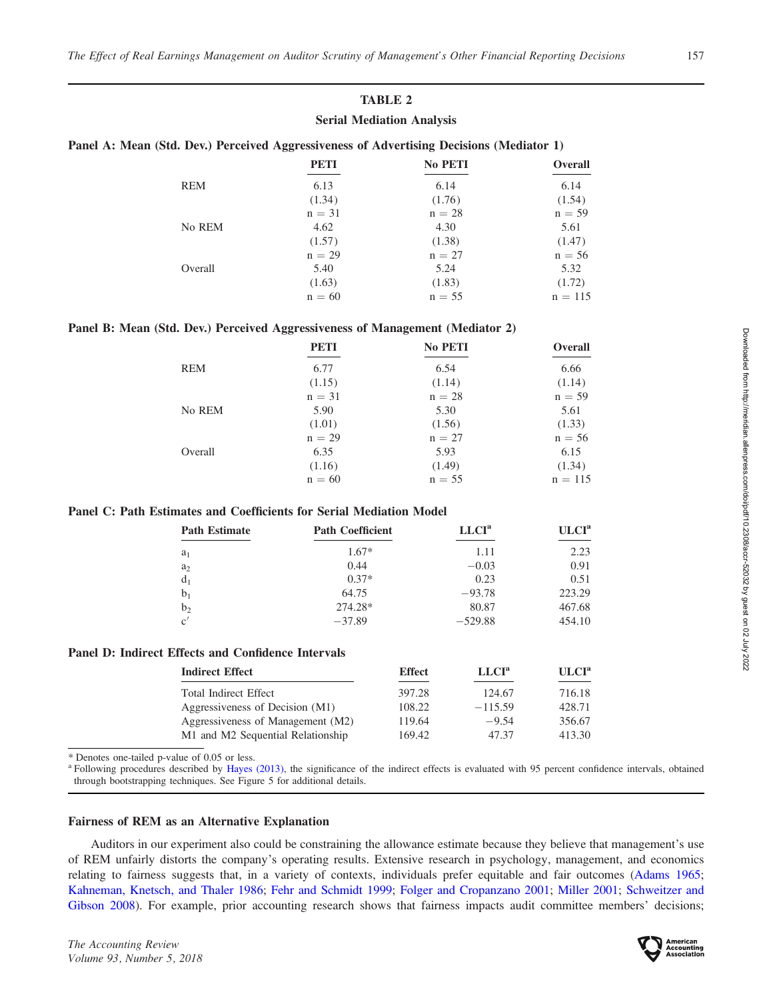## TABLE 2

## Serial Mediation Analysis

|  |  | Panel A: Mean (Std. Dev.) Perceived Aggressiveness of Advertising Decisions (Mediator 1) |
|--|--|------------------------------------------------------------------------------------------|
|--|--|------------------------------------------------------------------------------------------|

|            | <b>PETI</b> | <b>No PETI</b> | <b>Overall</b> |
|------------|-------------|----------------|----------------|
| <b>REM</b> | 6.13        | 6.14           | 6.14           |
|            | (1.34)      | (1.76)         | (1.54)         |
|            | $n = 31$    | $n = 28$       | $n = 59$       |
| No REM     | 4.62        | 4.30           | 5.61           |
|            | (1.57)      | (1.38)         | (1.47)         |
|            | $n = 29$    | $n = 27$       | $n = 56$       |
| Overall    | 5.40        | 5.24           | 5.32           |
|            | (1.63)      | (1.83)         | (1.72)         |
|            | $n = 60$    | $n = 55$       | $n = 115$      |

## Panel B: Mean (Std. Dev.) Perceived Aggressiveness of Management (Mediator 2)

|            | <b>PETI</b> | <b>No PETI</b> | <b>Overall</b> |
|------------|-------------|----------------|----------------|
| <b>REM</b> | 6.77        | 6.54           | 6.66           |
|            | (1.15)      | (1.14)         | (1.14)         |
|            | $n = 31$    | $n = 28$       | $n = 59$       |
| No REM     | 5.90        | 5.30           | 5.61           |
|            | (1.01)      | (1.56)         | (1.33)         |
|            | $n = 29$    | $n = 27$       | $n = 56$       |
| Overall    | 6.35        | 5.93           | 6.15           |
|            | (1.16)      | (1.49)         | (1.34)         |
|            | $n = 60$    | $n = 55$       | $n = 115$      |

## Panel C: Path Estimates and Coefficients for Serial Mediation Model

| <b>Path Estimate</b> | <b>Path Coefficient</b> | LLCI <sup>a</sup> | ULCI <sup>a</sup> |
|----------------------|-------------------------|-------------------|-------------------|
| $a_1$                | $1.67*$                 | 1.11              | 2.23              |
| $a_2$                | 0.44                    | $-0.03$           | 0.91              |
| d <sub>1</sub>       | $0.37*$                 | 0.23              | 0.51              |
| b <sub>1</sub>       | 64.75                   | $-93.78$          | 223.29            |
| b <sub>2</sub>       | 274.28*                 | 80.87             | 467.68            |
| c'                   | $-37.89$                | $-529.88$         | 454.10            |

## Panel D: Indirect Effects and Confidence Intervals

| Indirect Effect                   | <b>Effect</b> | LLCI <sup>a</sup> | ULCI <sup>a</sup> |
|-----------------------------------|---------------|-------------------|-------------------|
| Total Indirect Effect             | 397.28        | 124.67            | 716.18            |
| Aggressiveness of Decision (M1)   | 108.22        | $-115.59$         | 428.71            |
| Aggressiveness of Management (M2) | 119.64        | $-9.54$           | 356.67            |
| M1 and M2 Sequential Relationship | 169.42        | 47.37             | 413.30            |

\* Denotes one-tailed p-value of 0.05 or less.

<sup>a</sup> Following procedures described by [Hayes \(2013\),](#page-17-0) the significance of the indirect effects is evaluated with 95 percent confidence intervals, obtained through bootstrapping techniques. See Figure 5 for additional details.

## Fairness of REM as an Alternative Explanation

Auditors in our experiment also could be constraining the allowance estimate because they believe that management's use of REM unfairly distorts the company's operating results. Extensive research in psychology, management, and economics relating to fairness suggests that, in a variety of contexts, individuals prefer equitable and fair outcomes ([Adams 1965](#page-16-0); [Kahneman, Knetsch, and Thaler 1986;](#page-17-0) [Fehr and Schmidt 1999;](#page-17-0) [Folger and Cropanzano 2001;](#page-17-0) [Miller 2001](#page-17-0); [Schweitzer and](#page-18-0) [Gibson 2008](#page-18-0)). For example, prior accounting research shows that fairness impacts audit committee members' decisions;

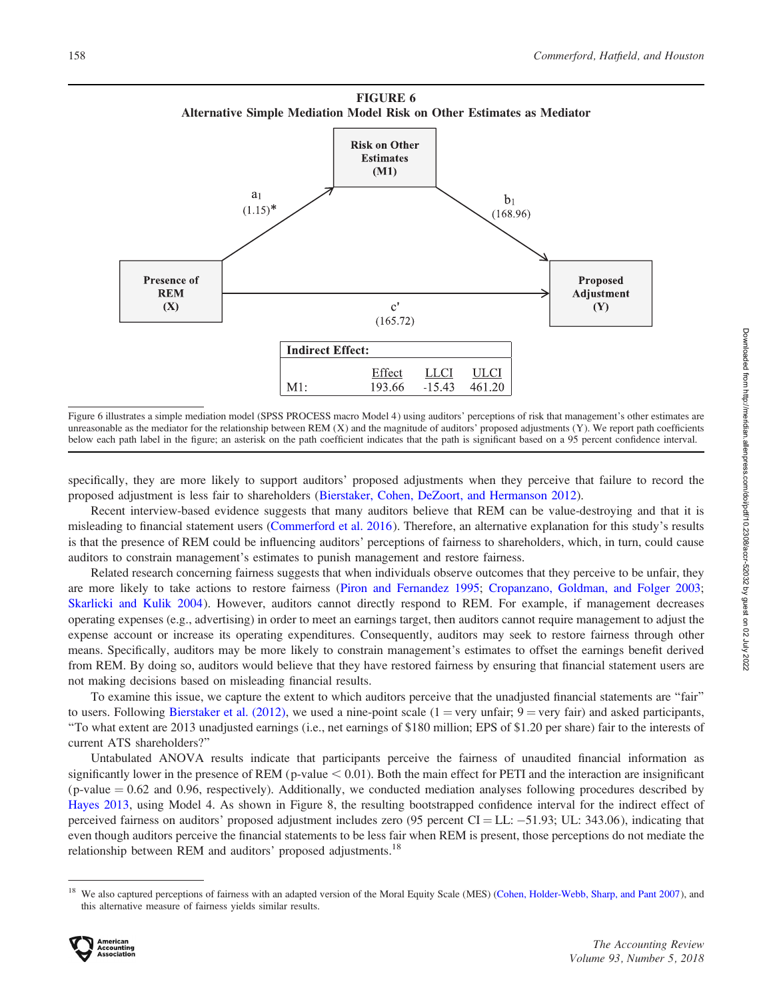

Figure 6 illustrates a simple mediation model (SPSS PROCESS macro Model 4) using auditors' perceptions of risk that management's other estimates are unreasonable as the mediator for the relationship between REM (X) and the magnitude of auditors' proposed adjustments (Y). We report path coefficients below each path label in the figure; an asterisk on the path coefficient indicates that the path is significant based on a 95 percent confidence interval.

specifically, they are more likely to support auditors' proposed adjustments when they perceive that failure to record the proposed adjustment is less fair to shareholders ([Bierstaker, Cohen, DeZoort, and Hermanson 2012\)](#page-16-0).

Recent interview-based evidence suggests that many auditors believe that REM can be value-destroying and that it is misleading to financial statement users [\(Commerford et al. 2016](#page-16-0)). Therefore, an alternative explanation for this study's results is that the presence of REM could be influencing auditors' perceptions of fairness to shareholders, which, in turn, could cause auditors to constrain management's estimates to punish management and restore fairness.

Related research concerning fairness suggests that when individuals observe outcomes that they perceive to be unfair, they are more likely to take actions to restore fairness ([Piron and Fernandez 1995](#page-18-0); [Cropanzano, Goldman, and Folger 2003](#page-16-0); [Skarlicki and Kulik 2004](#page-18-0)). However, auditors cannot directly respond to REM. For example, if management decreases operating expenses (e.g., advertising) in order to meet an earnings target, then auditors cannot require management to adjust the expense account or increase its operating expenditures. Consequently, auditors may seek to restore fairness through other means. Specifically, auditors may be more likely to constrain management's estimates to offset the earnings benefit derived from REM. By doing so, auditors would believe that they have restored fairness by ensuring that financial statement users are not making decisions based on misleading financial results.

To examine this issue, we capture the extent to which auditors perceive that the unadjusted financial statements are ''fair'' to users. Following [Bierstaker et al. \(2012\)](#page-16-0), we used a nine-point scale (1 = very unfair; 9 = very fair) and asked participants, ''To what extent are 2013 unadjusted earnings (i.e., net earnings of \$180 million; EPS of \$1.20 per share) fair to the interests of current ATS shareholders?''

Untabulated ANOVA results indicate that participants perceive the fairness of unaudited financial information as significantly lower in the presence of REM (p-value  $< 0.01$ ). Both the main effect for PETI and the interaction are insignificant  $(p-value = 0.62$  and 0.96, respectively). Additionally, we conducted mediation analyses following procedures described by [Hayes 2013](#page-17-0), using Model 4. As shown in Figure 8, the resulting bootstrapped confidence interval for the indirect effect of perceived fairness on auditors' proposed adjustment includes zero  $(95$  percent CI = LL:  $-51.93$ ; UL: 343.06), indicating that even though auditors perceive the financial statements to be less fair when REM is present, those perceptions do not mediate the relationship between REM and auditors' proposed adjustments.<sup>18</sup>

<sup>&</sup>lt;sup>18</sup> We also captured perceptions of fairness with an adapted version of the Moral Equity Scale (MES) ([Cohen, Holder-Webb, Sharp, and Pant 2007](#page-16-0)), and this alternative measure of fairness yields similar results.

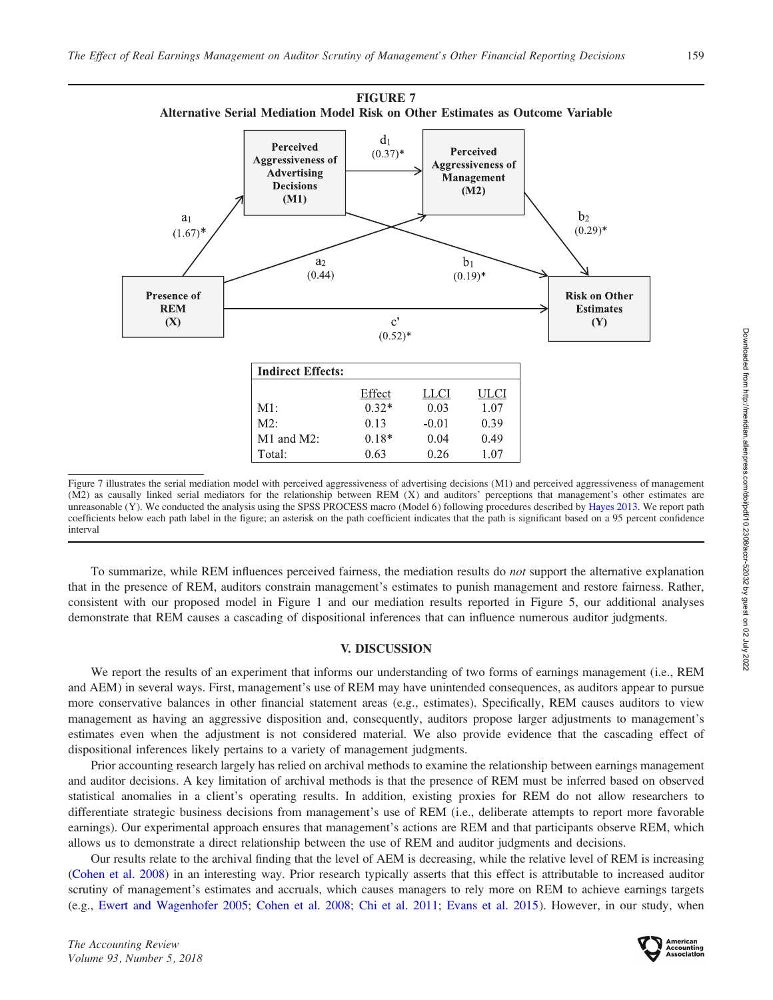

Figure 7 illustrates the serial mediation model with perceived aggressiveness of advertising decisions (M1) and perceived aggressiveness of management (M2) as causally linked serial mediators for the relationship between REM (X) and auditors' perceptions that management's other estimates are unreasonable (Y). We conducted the analysis using the SPSS PROCESS macro (Model 6) following procedures described by [Hayes 2013](#page-17-0). We report path coefficients below each path label in the figure; an asterisk on the path coefficient indicates that the path is significant based on a 95 percent confidence interval

To summarize, while REM influences perceived fairness, the mediation results do not support the alternative explanation that in the presence of REM, auditors constrain management's estimates to punish management and restore fairness. Rather, consistent with our proposed model in Figure 1 and our mediation results reported in Figure 5, our additional analyses demonstrate that REM causes a cascading of dispositional inferences that can influence numerous auditor judgments.

## V. DISCUSSION

We report the results of an experiment that informs our understanding of two forms of earnings management (i.e., REM and AEM) in several ways. First, management's use of REM may have unintended consequences, as auditors appear to pursue more conservative balances in other financial statement areas (e.g., estimates). Specifically, REM causes auditors to view management as having an aggressive disposition and, consequently, auditors propose larger adjustments to management's estimates even when the adjustment is not considered material. We also provide evidence that the cascading effect of dispositional inferences likely pertains to a variety of management judgments.

Prior accounting research largely has relied on archival methods to examine the relationship between earnings management and auditor decisions. A key limitation of archival methods is that the presence of REM must be inferred based on observed statistical anomalies in a client's operating results. In addition, existing proxies for REM do not allow researchers to differentiate strategic business decisions from management's use of REM (i.e., deliberate attempts to report more favorable earnings). Our experimental approach ensures that management's actions are REM and that participants observe REM, which allows us to demonstrate a direct relationship between the use of REM and auditor judgments and decisions.

Our results relate to the archival finding that the level of AEM is decreasing, while the relative level of REM is increasing [\(Cohen et al. 2008\)](#page-16-0) in an interesting way. Prior research typically asserts that this effect is attributable to increased auditor scrutiny of management's estimates and accruals, which causes managers to rely more on REM to achieve earnings targets (e.g., [Ewert and Wagenhofer 2005;](#page-16-0) [Cohen et al. 2008;](#page-16-0) [Chi et al. 2011](#page-16-0); [Evans et al. 2015](#page-16-0)). However, in our study, when

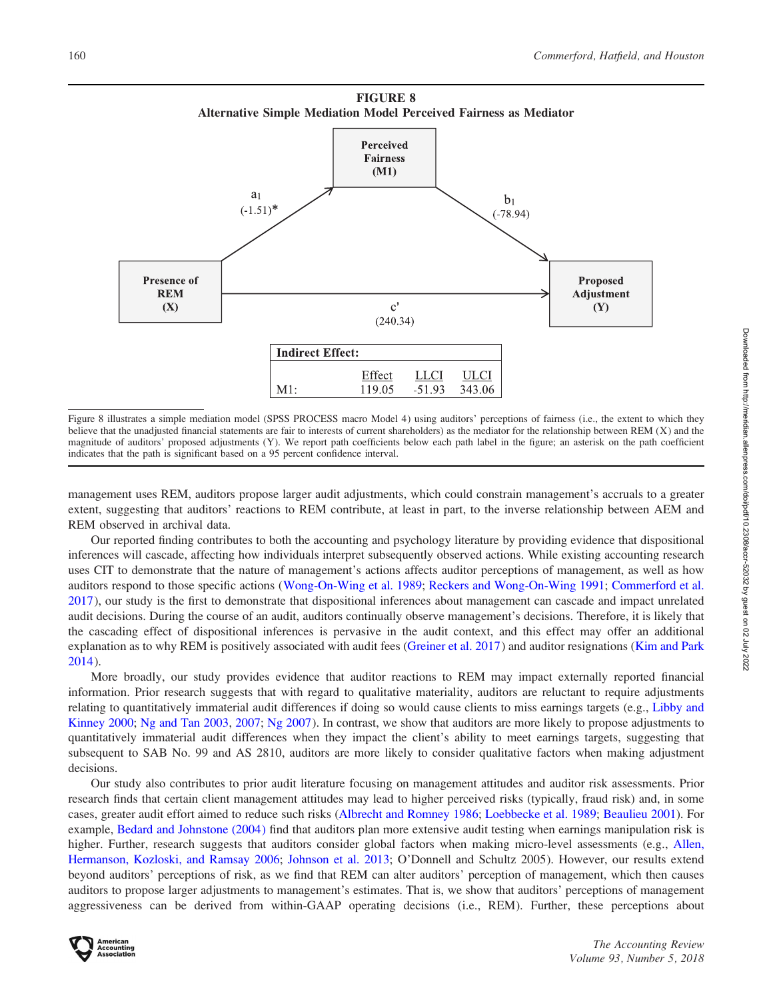

Figure 8 illustrates a simple mediation model (SPSS PROCESS macro Model 4) using auditors' perceptions of fairness (i.e., the extent to which they believe that the unadjusted financial statements are fair to interests of current shareholders) as the mediator for the relationship between REM (X) and the magnitude of auditors' proposed adjustments (Y). We report path coefficients below each path label in the figure; an asterisk on the path coefficient indicates that the path is significant based on a 95 percent confidence interval.

management uses REM, auditors propose larger audit adjustments, which could constrain management's accruals to a greater extent, suggesting that auditors' reactions to REM contribute, at least in part, to the inverse relationship between AEM and REM observed in archival data.

Our reported finding contributes to both the accounting and psychology literature by providing evidence that dispositional inferences will cascade, affecting how individuals interpret subsequently observed actions. While existing accounting research uses CIT to demonstrate that the nature of management's actions affects auditor perceptions of management, as well as how auditors respond to those specific actions (Wong-On-Wing et al. 1989; [Reckers and Wong-On-Wing 1991](#page-18-0); [Commerford et al.](#page-16-0) [2017](#page-16-0)), our study is the first to demonstrate that dispositional inferences about management can cascade and impact unrelated audit decisions. During the course of an audit, auditors continually observe management's decisions. Therefore, it is likely that the cascading effect of dispositional inferences is pervasive in the audit context, and this effect may offer an additional explanation as to why REM is positively associated with audit fees ([Greiner et al. 2017](#page-17-0)) and auditor resignations [\(Kim and Park](#page-17-0) [2014](#page-17-0)).

More broadly, our study provides evidence that auditor reactions to REM may impact externally reported financial information. Prior research suggests that with regard to qualitative materiality, auditors are reluctant to require adjustments relating to quantitatively immaterial audit differences if doing so would cause clients to miss earnings targets (e.g., [Libby and](#page-17-0) [Kinney 2000;](#page-17-0) [Ng and Tan 2003](#page-17-0), [2007](#page-17-0); [Ng 2007](#page-17-0)). In contrast, we show that auditors are more likely to propose adjustments to quantitatively immaterial audit differences when they impact the client's ability to meet earnings targets, suggesting that subsequent to SAB No. 99 and AS 2810, auditors are more likely to consider qualitative factors when making adjustment decisions.

Our study also contributes to prior audit literature focusing on management attitudes and auditor risk assessments. Prior research finds that certain client management attitudes may lead to higher perceived risks (typically, fraud risk) and, in some cases, greater audit effort aimed to reduce such risks [\(Albrecht and Romney 1986](#page-16-0); [Loebbecke et al. 1989;](#page-17-0) [Beaulieu 2001\)](#page-16-0). For example, [Bedard and Johnstone \(2004\)](#page-16-0) find that auditors plan more extensive audit testing when earnings manipulation risk is higher. Further, research suggests that auditors consider global factors when making micro-level assessments (e.g., [Allen,](#page-16-0) [Hermanson, Kozloski, and Ramsay 2006;](#page-16-0) [Johnson et al. 2013;](#page-17-0) O'Donnell and Schultz 2005). However, our results extend beyond auditors' perceptions of risk, as we find that REM can alter auditors' perception of management, which then causes auditors to propose larger adjustments to management's estimates. That is, we show that auditors' perceptions of management aggressiveness can be derived from within-GAAP operating decisions (i.e., REM). Further, these perceptions about

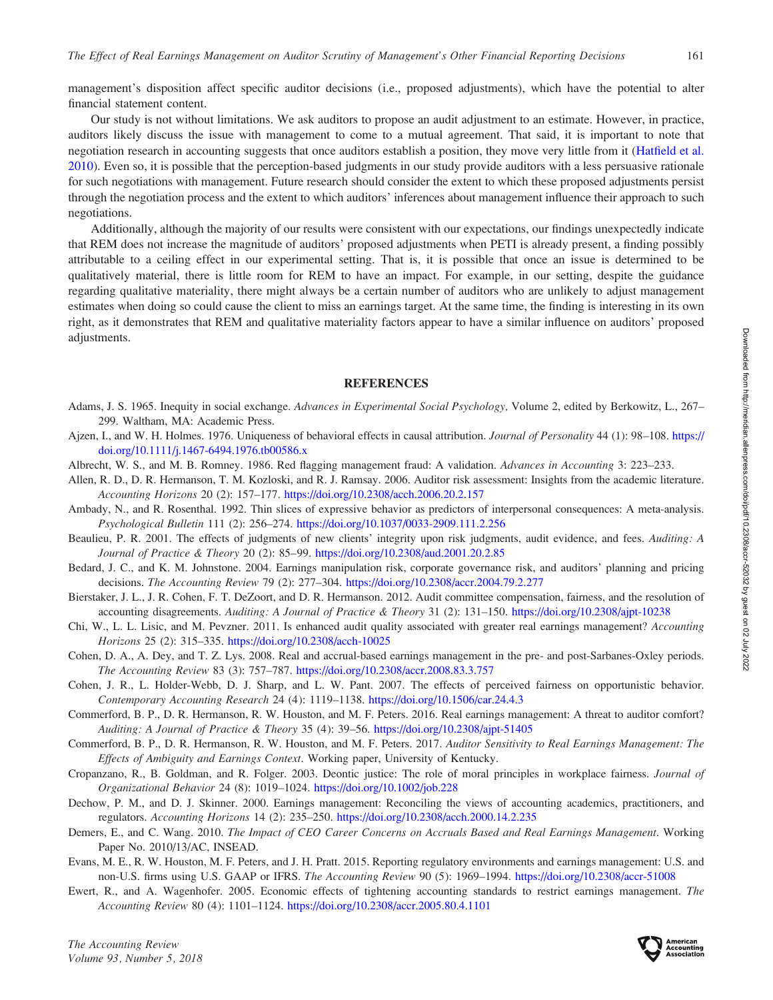<span id="page-16-0"></span>management's disposition affect specific auditor decisions (i.e., proposed adjustments), which have the potential to alter financial statement content.

Our study is not without limitations. We ask auditors to propose an audit adjustment to an estimate. However, in practice, auditors likely discuss the issue with management to come to a mutual agreement. That said, it is important to note that negotiation research in accounting suggests that once auditors establish a position, they move very little from it ([Hatfield et al.](#page-17-0) [2010\)](#page-17-0). Even so, it is possible that the perception-based judgments in our study provide auditors with a less persuasive rationale for such negotiations with management. Future research should consider the extent to which these proposed adjustments persist through the negotiation process and the extent to which auditors' inferences about management influence their approach to such negotiations.

Additionally, although the majority of our results were consistent with our expectations, our findings unexpectedly indicate that REM does not increase the magnitude of auditors' proposed adjustments when PETI is already present, a finding possibly attributable to a ceiling effect in our experimental setting. That is, it is possible that once an issue is determined to be qualitatively material, there is little room for REM to have an impact. For example, in our setting, despite the guidance regarding qualitative materiality, there might always be a certain number of auditors who are unlikely to adjust management estimates when doing so could cause the client to miss an earnings target. At the same time, the finding is interesting in its own right, as it demonstrates that REM and qualitative materiality factors appear to have a similar influence on auditors' proposed adjustments.

## **REFERENCES**

- Adams, J. S. 1965. Inequity in social exchange. Advances in Experimental Social Psychology, Volume 2, edited by Berkowitz, L., 267– 299. Waltham, MA: Academic Press.
- Ajzen, I., and W. H. Holmes. 1976. Uniqueness of behavioral effects in causal attribution. Journal of Personality 44 (1): 98-108. [https://](https://doi.org/10.1111/j.1467-6494.1976.tb00586.x) [doi.org/10.1111/j.1467-6494.1976.tb00586.x](https://doi.org/10.1111/j.1467-6494.1976.tb00586.x)
- Albrecht, W. S., and M. B. Romney. 1986. Red flagging management fraud: A validation. Advances in Accounting 3: 223–233.
- Allen, R. D., D. R. Hermanson, T. M. Kozloski, and R. J. Ramsay. 2006. Auditor risk assessment: Insights from the academic literature. Accounting Horizons 20 (2): 157–177. <https://doi.org/10.2308/acch.2006.20.2.157>
- Ambady, N., and R. Rosenthal. 1992. Thin slices of expressive behavior as predictors of interpersonal consequences: A meta-analysis. Psychological Bulletin 111 (2): 256–274. <https://doi.org/10.1037/0033-2909.111.2.256>
- Beaulieu, P. R. 2001. The effects of judgments of new clients' integrity upon risk judgments, audit evidence, and fees. Auditing: A Journal of Practice & Theory 20 (2): 85–99. <https://doi.org/10.2308/aud.2001.20.2.85>
- Bedard, J. C., and K. M. Johnstone. 2004. Earnings manipulation risk, corporate governance risk, and auditors' planning and pricing decisions. The Accounting Review 79 (2): 277–304. <https://doi.org/10.2308/accr.2004.79.2.277>
- Bierstaker, J. L., J. R. Cohen, F. T. DeZoort, and D. R. Hermanson. 2012. Audit committee compensation, fairness, and the resolution of accounting disagreements. Auditing: A Journal of Practice & Theory 31 (2): 131–150. <https://doi.org/10.2308/ajpt-10238>
- Chi, W., L. L. Lisic, and M. Pevzner. 2011. Is enhanced audit quality associated with greater real earnings management? Accounting Horizons 25 (2): 315–335. <https://doi.org/10.2308/acch-10025>
- Cohen, D. A., A. Dey, and T. Z. Lys. 2008. Real and accrual-based earnings management in the pre- and post-Sarbanes-Oxley periods. The Accounting Review 83 (3): 757–787. <https://doi.org/10.2308/accr.2008.83.3.757>
- Cohen, J. R., L. Holder-Webb, D. J. Sharp, and L. W. Pant. 2007. The effects of perceived fairness on opportunistic behavior. Contemporary Accounting Research 24 (4): 1119–1138. <https://doi.org/10.1506/car.24.4.3>
- Commerford, B. P., D. R. Hermanson, R. W. Houston, and M. F. Peters. 2016. Real earnings management: A threat to auditor comfort? Auditing: A Journal of Practice & Theory 35 (4): 39–56. <https://doi.org/10.2308/ajpt-51405>
- Commerford, B. P., D. R. Hermanson, R. W. Houston, and M. F. Peters. 2017. Auditor Sensitivity to Real Earnings Management: The Effects of Ambiguity and Earnings Context. Working paper, University of Kentucky.
- Cropanzano, R., B. Goldman, and R. Folger. 2003. Deontic justice: The role of moral principles in workplace fairness. Journal of Organizational Behavior 24 (8): 1019–1024. <https://doi.org/10.1002/job.228>
- Dechow, P. M., and D. J. Skinner. 2000. Earnings management: Reconciling the views of accounting academics, practitioners, and regulators. Accounting Horizons 14 (2): 235–250. <https://doi.org/10.2308/acch.2000.14.2.235>
- Demers, E., and C. Wang. 2010. The Impact of CEO Career Concerns on Accruals Based and Real Earnings Management. Working Paper No. 2010/13/AC, INSEAD.
- Evans, M. E., R. W. Houston, M. F. Peters, and J. H. Pratt. 2015. Reporting regulatory environments and earnings management: U.S. and non-U.S. firms using U.S. GAAP or IFRS. The Accounting Review 90 (5): 1969–1994. <https://doi.org/10.2308/accr-51008>
- Ewert, R., and A. Wagenhofer. 2005. Economic effects of tightening accounting standards to restrict earnings management. The Accounting Review 80 (4): 1101–1124. <https://doi.org/10.2308/accr.2005.80.4.1101>

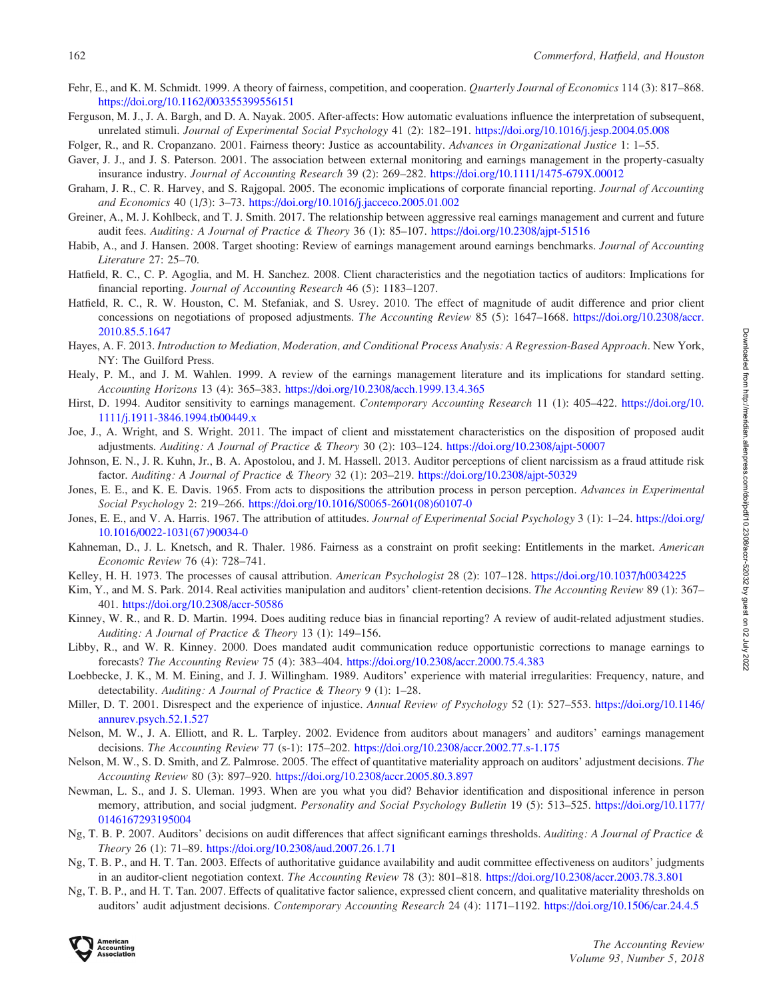- <span id="page-17-0"></span>Fehr, E., and K. M. Schmidt. 1999. A theory of fairness, competition, and cooperation. *Quarterly Journal of Economics* 114 (3): 817–868. <https://doi.org/10.1162/003355399556151>
- Ferguson, M. J., J. A. Bargh, and D. A. Nayak. 2005. After-affects: How automatic evaluations influence the interpretation of subsequent, unrelated stimuli. Journal of Experimental Social Psychology 41 (2): 182-191. <https://doi.org/10.1016/j.jesp.2004.05.008>
- Folger, R., and R. Cropanzano. 2001. Fairness theory: Justice as accountability. Advances in Organizational Justice 1: 1–55.
- Gaver, J. J., and J. S. Paterson. 2001. The association between external monitoring and earnings management in the property-casualty insurance industry. Journal of Accounting Research 39 (2): 269–282. <https://doi.org/10.1111/1475-679X.00012>
- Graham, J. R., C. R. Harvey, and S. Rajgopal. 2005. The economic implications of corporate financial reporting. Journal of Accounting and Economics 40 (1/3): 3–73. <https://doi.org/10.1016/j.jacceco.2005.01.002>
- Greiner, A., M. J. Kohlbeck, and T. J. Smith. 2017. The relationship between aggressive real earnings management and current and future audit fees. Auditing: A Journal of Practice & Theory 36 (1): 85–107. <https://doi.org/10.2308/ajpt-51516>
- Habib, A., and J. Hansen. 2008. Target shooting: Review of earnings management around earnings benchmarks. Journal of Accounting Literature 27: 25–70.
- Hatfield, R. C., C. P. Agoglia, and M. H. Sanchez. 2008. Client characteristics and the negotiation tactics of auditors: Implications for financial reporting. Journal of Accounting Research 46 (5): 1183–1207.
- Hatfield, R. C., R. W. Houston, C. M. Stefaniak, and S. Usrey. 2010. The effect of magnitude of audit difference and prior client concessions on negotiations of proposed adjustments. The Accounting Review 85 (5): 1647–1668. [https://doi.org/10.2308/accr.](https://doi.org/10.2308/accr.2010.85.5.1647) [2010.85.5.1647](https://doi.org/10.2308/accr.2010.85.5.1647)
- Hayes, A. F. 2013. Introduction to Mediation, Moderation, and Conditional Process Analysis: A Regression-Based Approach. New York, NY: The Guilford Press.
- Healy, P. M., and J. M. Wahlen. 1999. A review of the earnings management literature and its implications for standard setting. Accounting Horizons 13 (4): 365–383. <https://doi.org/10.2308/acch.1999.13.4.365>
- Hirst, D. 1994. Auditor sensitivity to earnings management. Contemporary Accounting Research 11 (1): 405–422. [https://doi.org/10.](https://doi.org/10.1111/j.1911-3846.1994.tb00449.x) [1111/j.1911-3846.1994.tb00449.x](https://doi.org/10.1111/j.1911-3846.1994.tb00449.x)
- Joe, J., A. Wright, and S. Wright. 2011. The impact of client and misstatement characteristics on the disposition of proposed audit adjustments. Auditing: A Journal of Practice & Theory 30 (2): 103–124. <https://doi.org/10.2308/ajpt-50007>
- Johnson, E. N., J. R. Kuhn, Jr., B. A. Apostolou, and J. M. Hassell. 2013. Auditor perceptions of client narcissism as a fraud attitude risk factor. Auditing: A Journal of Practice & Theory 32 (1): 203–219. <https://doi.org/10.2308/ajpt-50329>
- Jones, E. E., and K. E. Davis. 1965. From acts to dispositions the attribution process in person perception. Advances in Experimental Social Psychology 2: 219–266. [https://doi.org/10.1016/S0065-2601\(08\)60107-0](https://doi.org/10.1016/S0065-2601(08)60107-0)
- Jones, E. E., and V. A. Harris. 1967. The attribution of attitudes. Journal of Experimental Social Psychology 3 (1): 1–24. [https://doi.org/](https://doi.org/10.1016/0022-1031(67)90034-0) [10.1016/0022-1031\(67\)90034-0](https://doi.org/10.1016/0022-1031(67)90034-0)
- Kahneman, D., J. L. Knetsch, and R. Thaler. 1986. Fairness as a constraint on profit seeking: Entitlements in the market. American Economic Review 76 (4): 728–741.
- Kelley, H. H. 1973. The processes of causal attribution. American Psychologist 28 (2): 107–128. <https://doi.org/10.1037/h0034225>
- Kim, Y., and M. S. Park. 2014. Real activities manipulation and auditors' client-retention decisions. The Accounting Review 89 (1): 367– 401. <https://doi.org/10.2308/accr-50586>
- Kinney, W. R., and R. D. Martin. 1994. Does auditing reduce bias in financial reporting? A review of audit-related adjustment studies. Auditing: A Journal of Practice & Theory 13 (1): 149–156.
- Libby, R., and W. R. Kinney. 2000. Does mandated audit communication reduce opportunistic corrections to manage earnings to forecasts? The Accounting Review 75 (4): 383–404. <https://doi.org/10.2308/accr.2000.75.4.383>
- Loebbecke, J. K., M. M. Eining, and J. J. Willingham. 1989. Auditors' experience with material irregularities: Frequency, nature, and detectability. Auditing: A Journal of Practice & Theory 9 (1): 1–28.
- Miller, D. T. 2001. Disrespect and the experience of injustice. Annual Review of Psychology 52 (1): 527–553. [https://doi.org/10.1146/](https://doi.org/10.1146/annurev.psych.52.1.527) [annurev.psych.52.1.527](https://doi.org/10.1146/annurev.psych.52.1.527)
- Nelson, M. W., J. A. Elliott, and R. L. Tarpley. 2002. Evidence from auditors about managers' and auditors' earnings management decisions. The Accounting Review 77 (s-1): 175–202. <https://doi.org/10.2308/accr.2002.77.s-1.175>
- Nelson, M. W., S. D. Smith, and Z. Palmrose. 2005. The effect of quantitative materiality approach on auditors' adjustment decisions. The Accounting Review 80 (3): 897–920. <https://doi.org/10.2308/accr.2005.80.3.897>
- Newman, L. S., and J. S. Uleman. 1993. When are you what you did? Behavior identification and dispositional inference in person memory, attribution, and social judgment. Personality and Social Psychology Bulletin 19 (5): 513–525. [https://doi.org/10.1177/](https://doi.org/10.1177/0146167293195004) [0146167293195004](https://doi.org/10.1177/0146167293195004)
- Ng, T. B. P. 2007. Auditors' decisions on audit differences that affect significant earnings thresholds. Auditing: A Journal of Practice & Theory 26 (1): 71–89. <https://doi.org/10.2308/aud.2007.26.1.71>
- Ng, T. B. P., and H. T. Tan. 2003. Effects of authoritative guidance availability and audit committee effectiveness on auditors' judgments in an auditor-client negotiation context. The Accounting Review 78 (3): 801–818. <https://doi.org/10.2308/accr.2003.78.3.801>
- Ng, T. B. P., and H. T. Tan. 2007. Effects of qualitative factor salience, expressed client concern, and qualitative materiality thresholds on auditors' audit adjustment decisions. Contemporary Accounting Research 24 (4): 1171–1192. <https://doi.org/10.1506/car.24.4.5>